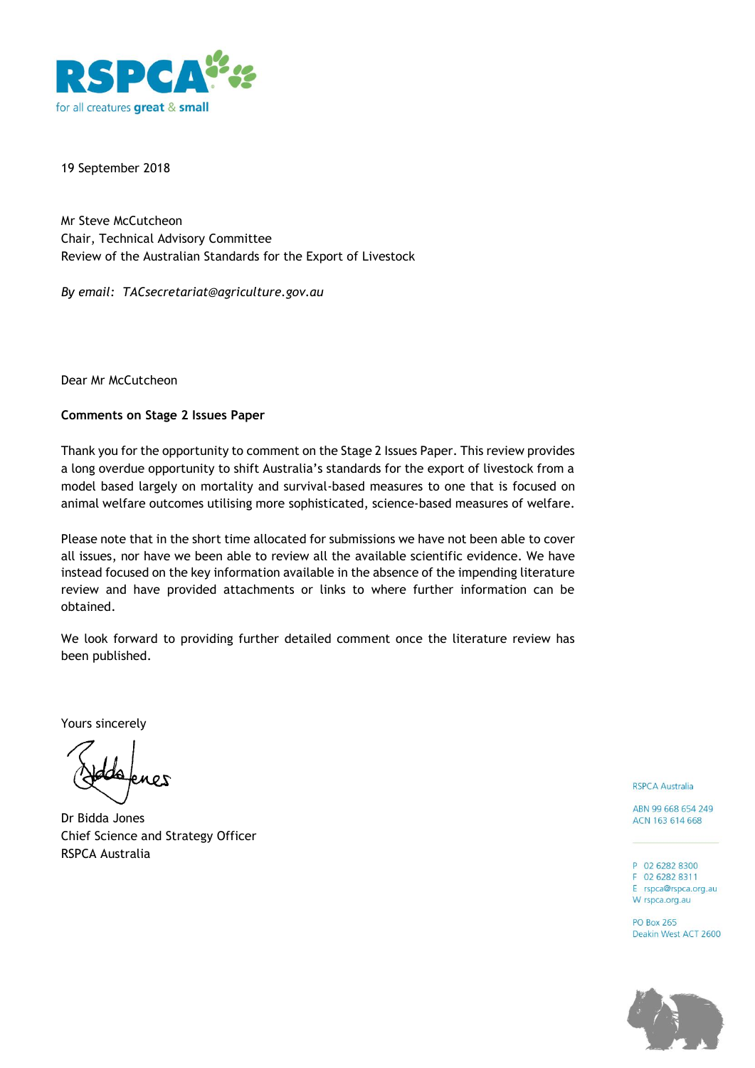

19 September 2018

Mr Steve McCutcheon Chair, Technical Advisory Committee Review of the Australian Standards for the Export of Livestock

*By email: TACsecretariat@agriculture.gov.au*

Dear Mr McCutcheon

## **Comments on Stage 2 Issues Paper**

Thank you for the opportunity to comment on the Stage 2 Issues Paper. This review provides a long overdue opportunity to shift Australia's standards for the export of livestock from a model based largely on mortality and survival-based measures to one that is focused on animal welfare outcomes utilising more sophisticated, science-based measures of welfare.

Please note that in the short time allocated for submissions we have not been able to cover all issues, nor have we been able to review all the available scientific evidence. We have instead focused on the key information available in the absence of the impending literature review and have provided attachments or links to where further information can be obtained.

We look forward to providing further detailed comment once the literature review has been published.

Yours sincerely

Dr Bidda Jones Chief Science and Strategy Officer RSPCA Australia

**RSPCA Australia** 

ABN 99 668 654 249 ACN 163 614 668

P 02 6282 8300 F 02 6282 8311

E rspca@rspca.org.au W rspca.org.au

**PO Box 265** Deakin West ACT 2600

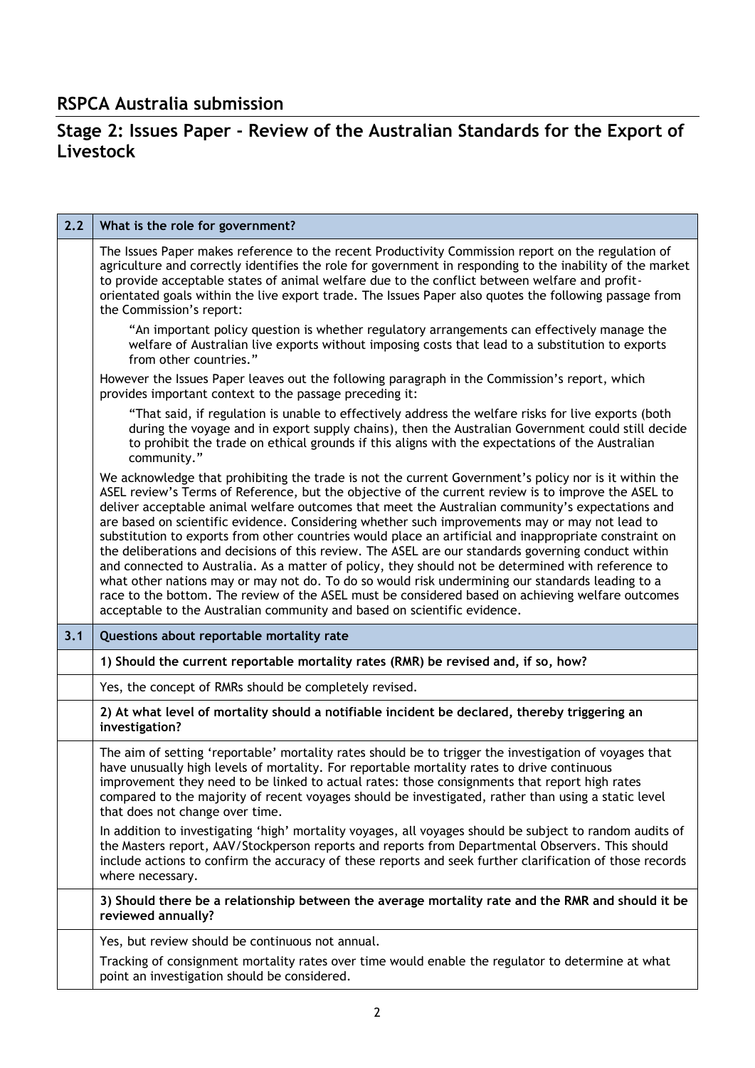## **Stage 2: Issues Paper - Review of the Australian Standards for the Export of Livestock**

| 2.2 | What is the role for government?                                                                                                                                                                                                                                                                                                                                                                                                                                                                                                                                                                                                                                                                                                                                                                                                                                                                                                                                                                                               |
|-----|--------------------------------------------------------------------------------------------------------------------------------------------------------------------------------------------------------------------------------------------------------------------------------------------------------------------------------------------------------------------------------------------------------------------------------------------------------------------------------------------------------------------------------------------------------------------------------------------------------------------------------------------------------------------------------------------------------------------------------------------------------------------------------------------------------------------------------------------------------------------------------------------------------------------------------------------------------------------------------------------------------------------------------|
|     | The Issues Paper makes reference to the recent Productivity Commission report on the regulation of<br>agriculture and correctly identifies the role for government in responding to the inability of the market<br>to provide acceptable states of animal welfare due to the conflict between welfare and profit-<br>orientated goals within the live export trade. The Issues Paper also quotes the following passage from<br>the Commission's report:                                                                                                                                                                                                                                                                                                                                                                                                                                                                                                                                                                        |
|     | "An important policy question is whether regulatory arrangements can effectively manage the<br>welfare of Australian live exports without imposing costs that lead to a substitution to exports<br>from other countries."                                                                                                                                                                                                                                                                                                                                                                                                                                                                                                                                                                                                                                                                                                                                                                                                      |
|     | However the Issues Paper leaves out the following paragraph in the Commission's report, which<br>provides important context to the passage preceding it:                                                                                                                                                                                                                                                                                                                                                                                                                                                                                                                                                                                                                                                                                                                                                                                                                                                                       |
|     | "That said, if regulation is unable to effectively address the welfare risks for live exports (both<br>during the voyage and in export supply chains), then the Australian Government could still decide<br>to prohibit the trade on ethical grounds if this aligns with the expectations of the Australian<br>community."                                                                                                                                                                                                                                                                                                                                                                                                                                                                                                                                                                                                                                                                                                     |
|     | We acknowledge that prohibiting the trade is not the current Government's policy nor is it within the<br>ASEL review's Terms of Reference, but the objective of the current review is to improve the ASEL to<br>deliver acceptable animal welfare outcomes that meet the Australian community's expectations and<br>are based on scientific evidence. Considering whether such improvements may or may not lead to<br>substitution to exports from other countries would place an artificial and inappropriate constraint on<br>the deliberations and decisions of this review. The ASEL are our standards governing conduct within<br>and connected to Australia. As a matter of policy, they should not be determined with reference to<br>what other nations may or may not do. To do so would risk undermining our standards leading to a<br>race to the bottom. The review of the ASEL must be considered based on achieving welfare outcomes<br>acceptable to the Australian community and based on scientific evidence. |
| 3.1 | Questions about reportable mortality rate                                                                                                                                                                                                                                                                                                                                                                                                                                                                                                                                                                                                                                                                                                                                                                                                                                                                                                                                                                                      |
|     | 1) Should the current reportable mortality rates (RMR) be revised and, if so, how?                                                                                                                                                                                                                                                                                                                                                                                                                                                                                                                                                                                                                                                                                                                                                                                                                                                                                                                                             |
|     | Yes, the concept of RMRs should be completely revised.                                                                                                                                                                                                                                                                                                                                                                                                                                                                                                                                                                                                                                                                                                                                                                                                                                                                                                                                                                         |
|     | 2) At what level of mortality should a notifiable incident be declared, thereby triggering an<br>investigation?                                                                                                                                                                                                                                                                                                                                                                                                                                                                                                                                                                                                                                                                                                                                                                                                                                                                                                                |
|     | The aim of setting 'reportable' mortality rates should be to trigger the investigation of voyages that<br>have unusually high levels of mortality. For reportable mortality rates to drive continuous<br>improvement they need to be linked to actual rates: those consignments that report high rates<br>compared to the majority of recent voyages should be investigated, rather than using a static level<br>that does not change over time.                                                                                                                                                                                                                                                                                                                                                                                                                                                                                                                                                                               |
|     | In addition to investigating 'high' mortality voyages, all voyages should be subject to random audits of<br>the Masters report, AAV/Stockperson reports and reports from Departmental Observers. This should<br>include actions to confirm the accuracy of these reports and seek further clarification of those records<br>where necessary.                                                                                                                                                                                                                                                                                                                                                                                                                                                                                                                                                                                                                                                                                   |
|     | 3) Should there be a relationship between the average mortality rate and the RMR and should it be<br>reviewed annually?                                                                                                                                                                                                                                                                                                                                                                                                                                                                                                                                                                                                                                                                                                                                                                                                                                                                                                        |
|     | Yes, but review should be continuous not annual.                                                                                                                                                                                                                                                                                                                                                                                                                                                                                                                                                                                                                                                                                                                                                                                                                                                                                                                                                                               |
|     | Tracking of consignment mortality rates over time would enable the regulator to determine at what<br>point an investigation should be considered.                                                                                                                                                                                                                                                                                                                                                                                                                                                                                                                                                                                                                                                                                                                                                                                                                                                                              |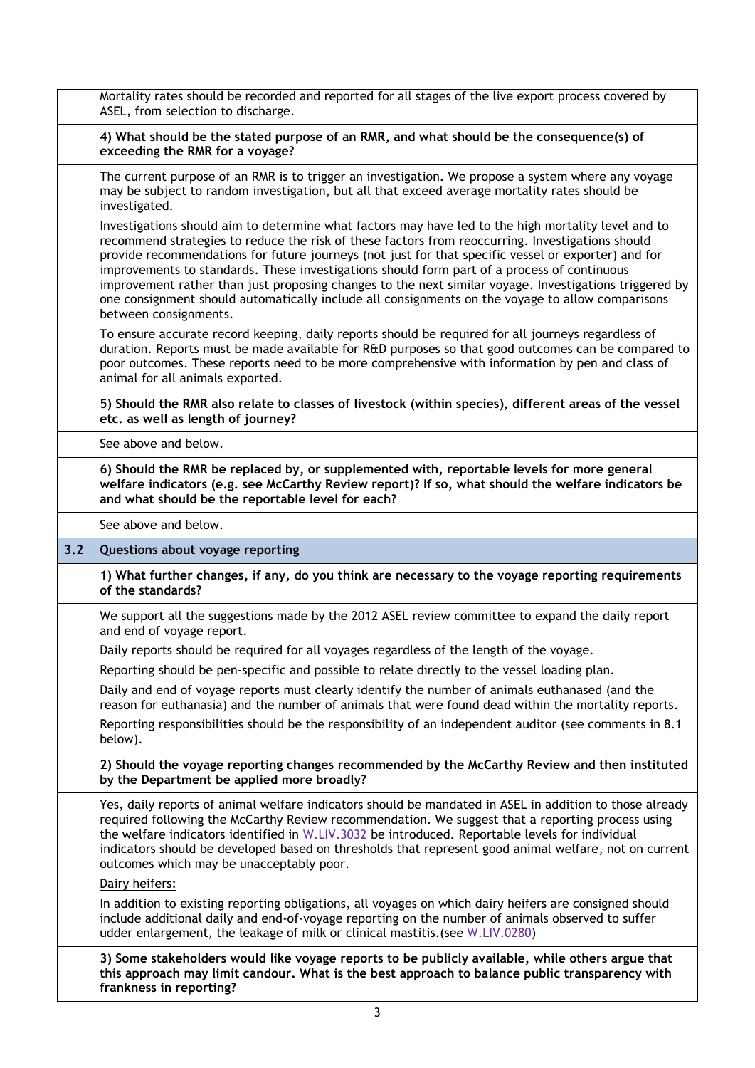|     | Mortality rates should be recorded and reported for all stages of the live export process covered by<br>ASEL, from selection to discharge.                                                                                                                                                                                                                                                                                                                                                                                                                                                                                                           |
|-----|------------------------------------------------------------------------------------------------------------------------------------------------------------------------------------------------------------------------------------------------------------------------------------------------------------------------------------------------------------------------------------------------------------------------------------------------------------------------------------------------------------------------------------------------------------------------------------------------------------------------------------------------------|
|     | 4) What should be the stated purpose of an RMR, and what should be the consequence(s) of<br>exceeding the RMR for a voyage?                                                                                                                                                                                                                                                                                                                                                                                                                                                                                                                          |
|     | The current purpose of an RMR is to trigger an investigation. We propose a system where any voyage<br>may be subject to random investigation, but all that exceed average mortality rates should be<br>investigated.                                                                                                                                                                                                                                                                                                                                                                                                                                 |
|     | Investigations should aim to determine what factors may have led to the high mortality level and to<br>recommend strategies to reduce the risk of these factors from reoccurring. Investigations should<br>provide recommendations for future journeys (not just for that specific vessel or exporter) and for<br>improvements to standards. These investigations should form part of a process of continuous<br>improvement rather than just proposing changes to the next similar voyage. Investigations triggered by<br>one consignment should automatically include all consignments on the voyage to allow comparisons<br>between consignments. |
|     | To ensure accurate record keeping, daily reports should be required for all journeys regardless of<br>duration. Reports must be made available for R&D purposes so that good outcomes can be compared to<br>poor outcomes. These reports need to be more comprehensive with information by pen and class of<br>animal for all animals exported.                                                                                                                                                                                                                                                                                                      |
|     | 5) Should the RMR also relate to classes of livestock (within species), different areas of the vessel<br>etc. as well as length of journey?                                                                                                                                                                                                                                                                                                                                                                                                                                                                                                          |
|     | See above and below.                                                                                                                                                                                                                                                                                                                                                                                                                                                                                                                                                                                                                                 |
|     | 6) Should the RMR be replaced by, or supplemented with, reportable levels for more general<br>welfare indicators (e.g. see McCarthy Review report)? If so, what should the welfare indicators be<br>and what should be the reportable level for each?                                                                                                                                                                                                                                                                                                                                                                                                |
|     | See above and below.                                                                                                                                                                                                                                                                                                                                                                                                                                                                                                                                                                                                                                 |
| 3.2 |                                                                                                                                                                                                                                                                                                                                                                                                                                                                                                                                                                                                                                                      |
|     | Questions about voyage reporting                                                                                                                                                                                                                                                                                                                                                                                                                                                                                                                                                                                                                     |
|     | 1) What further changes, if any, do you think are necessary to the voyage reporting requirements<br>of the standards?                                                                                                                                                                                                                                                                                                                                                                                                                                                                                                                                |
|     | We support all the suggestions made by the 2012 ASEL review committee to expand the daily report<br>and end of voyage report.                                                                                                                                                                                                                                                                                                                                                                                                                                                                                                                        |
|     | Daily reports should be required for all voyages regardless of the length of the voyage.                                                                                                                                                                                                                                                                                                                                                                                                                                                                                                                                                             |
|     | Reporting should be pen-specific and possible to relate directly to the vessel loading plan.                                                                                                                                                                                                                                                                                                                                                                                                                                                                                                                                                         |
|     | Daily and end of voyage reports must clearly identify the number of animals euthanased (and the<br>reason for euthanasia) and the number of animals that were found dead within the mortality reports.                                                                                                                                                                                                                                                                                                                                                                                                                                               |
|     | Reporting responsibilities should be the responsibility of an independent auditor (see comments in 8.1<br>below).                                                                                                                                                                                                                                                                                                                                                                                                                                                                                                                                    |
|     | 2) Should the voyage reporting changes recommended by the McCarthy Review and then instituted<br>by the Department be applied more broadly?                                                                                                                                                                                                                                                                                                                                                                                                                                                                                                          |
|     | Yes, daily reports of animal welfare indicators should be mandated in ASEL in addition to those already<br>required following the McCarthy Review recommendation. We suggest that a reporting process using<br>the welfare indicators identified in W.LIV.3032 be introduced. Reportable levels for individual<br>indicators should be developed based on thresholds that represent good animal welfare, not on current<br>outcomes which may be unacceptably poor.                                                                                                                                                                                  |
|     | Dairy heifers:                                                                                                                                                                                                                                                                                                                                                                                                                                                                                                                                                                                                                                       |
|     | In addition to existing reporting obligations, all voyages on which dairy heifers are consigned should<br>include additional daily and end-of-voyage reporting on the number of animals observed to suffer<br>udder enlargement, the leakage of milk or clinical mastitis. (see W.LIV.0280)                                                                                                                                                                                                                                                                                                                                                          |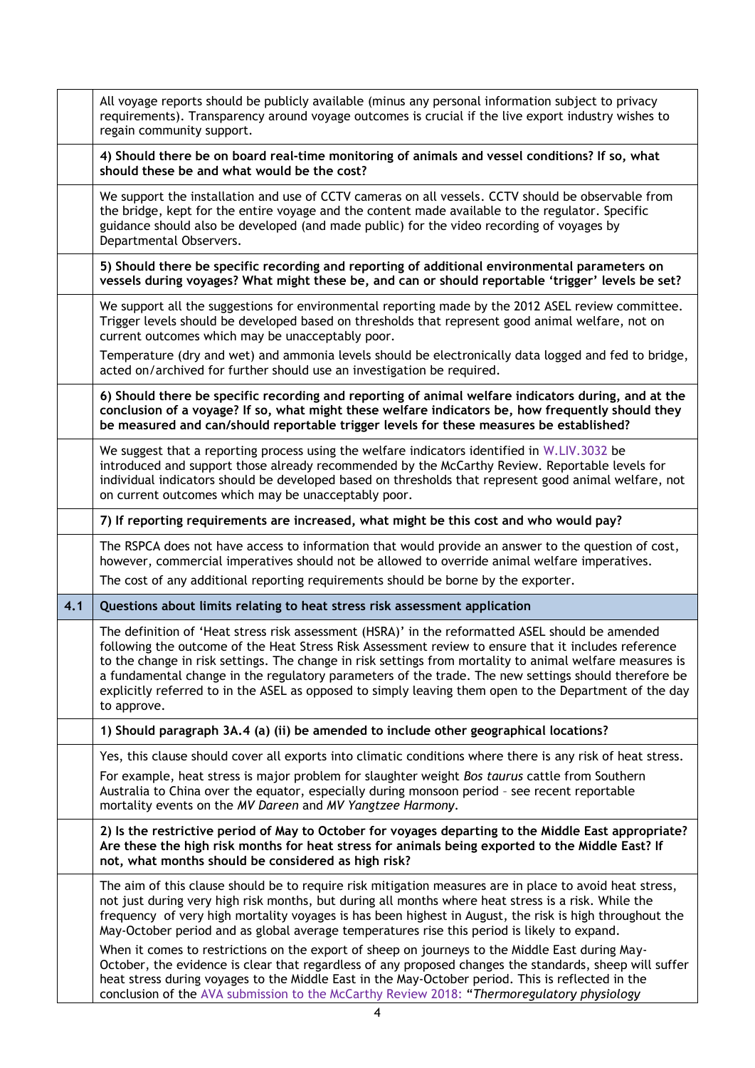|     | All voyage reports should be publicly available (minus any personal information subject to privacy<br>requirements). Transparency around voyage outcomes is crucial if the live export industry wishes to<br>regain community support.                                                                                                                                                                                                                                                                                                                |
|-----|-------------------------------------------------------------------------------------------------------------------------------------------------------------------------------------------------------------------------------------------------------------------------------------------------------------------------------------------------------------------------------------------------------------------------------------------------------------------------------------------------------------------------------------------------------|
|     | 4) Should there be on board real-time monitoring of animals and vessel conditions? If so, what<br>should these be and what would be the cost?                                                                                                                                                                                                                                                                                                                                                                                                         |
|     | We support the installation and use of CCTV cameras on all vessels. CCTV should be observable from<br>the bridge, kept for the entire voyage and the content made available to the regulator. Specific<br>guidance should also be developed (and made public) for the video recording of voyages by<br>Departmental Observers.                                                                                                                                                                                                                        |
|     | 5) Should there be specific recording and reporting of additional environmental parameters on<br>vessels during voyages? What might these be, and can or should reportable 'trigger' levels be set?                                                                                                                                                                                                                                                                                                                                                   |
|     | We support all the suggestions for environmental reporting made by the 2012 ASEL review committee.<br>Trigger levels should be developed based on thresholds that represent good animal welfare, not on<br>current outcomes which may be unacceptably poor.                                                                                                                                                                                                                                                                                           |
|     | Temperature (dry and wet) and ammonia levels should be electronically data logged and fed to bridge,<br>acted on/archived for further should use an investigation be required.                                                                                                                                                                                                                                                                                                                                                                        |
|     | 6) Should there be specific recording and reporting of animal welfare indicators during, and at the<br>conclusion of a voyage? If so, what might these welfare indicators be, how frequently should they<br>be measured and can/should reportable trigger levels for these measures be established?                                                                                                                                                                                                                                                   |
|     | We suggest that a reporting process using the welfare indicators identified in W.LIV.3032 be<br>introduced and support those already recommended by the McCarthy Review. Reportable levels for<br>individual indicators should be developed based on thresholds that represent good animal welfare, not<br>on current outcomes which may be unacceptably poor.                                                                                                                                                                                        |
|     | 7) If reporting requirements are increased, what might be this cost and who would pay?                                                                                                                                                                                                                                                                                                                                                                                                                                                                |
|     | The RSPCA does not have access to information that would provide an answer to the question of cost,                                                                                                                                                                                                                                                                                                                                                                                                                                                   |
|     | however, commercial imperatives should not be allowed to override animal welfare imperatives.                                                                                                                                                                                                                                                                                                                                                                                                                                                         |
|     | The cost of any additional reporting requirements should be borne by the exporter.                                                                                                                                                                                                                                                                                                                                                                                                                                                                    |
| 4.1 | Questions about limits relating to heat stress risk assessment application                                                                                                                                                                                                                                                                                                                                                                                                                                                                            |
|     | The definition of 'Heat stress risk assessment (HSRA)' in the reformatted ASEL should be amended<br>following the outcome of the Heat Stress Risk Assessment review to ensure that it includes reference<br>to the change in risk settings. The change in risk settings from mortality to animal welfare measures is<br>a fundamental change in the regulatory parameters of the trade. The new settings should therefore be<br>explicitly referred to in the ASEL as opposed to simply leaving them open to the Department of the day<br>to approve. |
|     | 1) Should paragraph 3A.4 (a) (ii) be amended to include other geographical locations?                                                                                                                                                                                                                                                                                                                                                                                                                                                                 |
|     | Yes, this clause should cover all exports into climatic conditions where there is any risk of heat stress.                                                                                                                                                                                                                                                                                                                                                                                                                                            |
|     | For example, heat stress is major problem for slaughter weight Bos taurus cattle from Southern<br>Australia to China over the equator, especially during monsoon period - see recent reportable<br>mortality events on the MV Dareen and MV Yangtzee Harmony.                                                                                                                                                                                                                                                                                         |
|     | 2) Is the restrictive period of May to October for voyages departing to the Middle East appropriate?<br>Are these the high risk months for heat stress for animals being exported to the Middle East? If<br>not, what months should be considered as high risk?                                                                                                                                                                                                                                                                                       |
|     | The aim of this clause should be to require risk mitigation measures are in place to avoid heat stress,<br>not just during very high risk months, but during all months where heat stress is a risk. While the<br>frequency of very high mortality voyages is has been highest in August, the risk is high throughout the<br>May-October period and as global average temperatures rise this period is likely to expand.                                                                                                                              |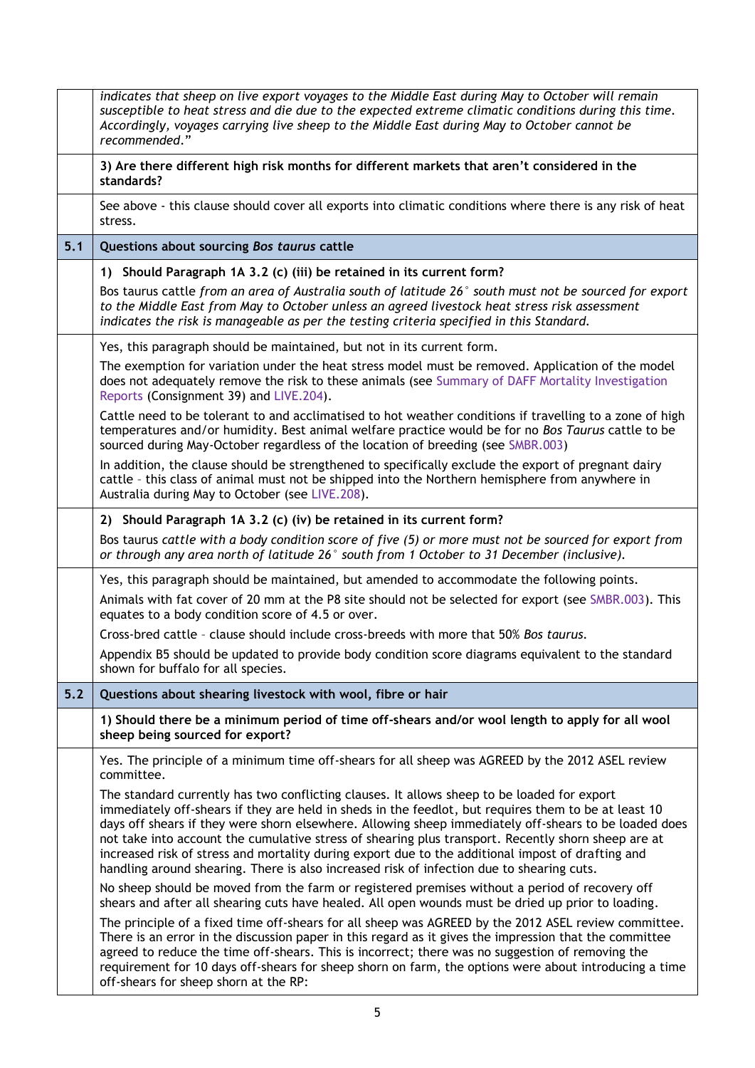|       | indicates that sheep on live export voyages to the Middle East during May to October will remain<br>susceptible to heat stress and die due to the expected extreme climatic conditions during this time.<br>Accordingly, voyages carrying live sheep to the Middle East during May to October cannot be<br>recommended."                                                                                                                                                                                                                                                                                              |
|-------|-----------------------------------------------------------------------------------------------------------------------------------------------------------------------------------------------------------------------------------------------------------------------------------------------------------------------------------------------------------------------------------------------------------------------------------------------------------------------------------------------------------------------------------------------------------------------------------------------------------------------|
|       | 3) Are there different high risk months for different markets that aren't considered in the<br>standards?                                                                                                                                                                                                                                                                                                                                                                                                                                                                                                             |
|       | See above - this clause should cover all exports into climatic conditions where there is any risk of heat<br>stress.                                                                                                                                                                                                                                                                                                                                                                                                                                                                                                  |
| 5.1   | Questions about sourcing Bos taurus cattle                                                                                                                                                                                                                                                                                                                                                                                                                                                                                                                                                                            |
|       | 1) Should Paragraph 1A 3.2 (c) (iii) be retained in its current form?                                                                                                                                                                                                                                                                                                                                                                                                                                                                                                                                                 |
|       | Bos taurus cattle from an area of Australia south of latitude 26° south must not be sourced for export<br>to the Middle East from May to October unless an agreed livestock heat stress risk assessment<br>indicates the risk is manageable as per the testing criteria specified in this Standard.                                                                                                                                                                                                                                                                                                                   |
|       | Yes, this paragraph should be maintained, but not in its current form.                                                                                                                                                                                                                                                                                                                                                                                                                                                                                                                                                |
|       | The exemption for variation under the heat stress model must be removed. Application of the model<br>does not adequately remove the risk to these animals (see Summary of DAFF Mortality Investigation<br>Reports (Consignment 39) and LIVE.204).                                                                                                                                                                                                                                                                                                                                                                     |
|       | Cattle need to be tolerant to and acclimatised to hot weather conditions if travelling to a zone of high<br>temperatures and/or humidity. Best animal welfare practice would be for no Bos Taurus cattle to be<br>sourced during May-October regardless of the location of breeding (see SMBR.003)                                                                                                                                                                                                                                                                                                                    |
|       | In addition, the clause should be strengthened to specifically exclude the export of pregnant dairy<br>cattle - this class of animal must not be shipped into the Northern hemisphere from anywhere in<br>Australia during May to October (see LIVE.208).                                                                                                                                                                                                                                                                                                                                                             |
|       | 2) Should Paragraph 1A 3.2 (c) (iv) be retained in its current form?                                                                                                                                                                                                                                                                                                                                                                                                                                                                                                                                                  |
|       | Bos taurus cattle with a body condition score of five (5) or more must not be sourced for export from<br>or through any area north of latitude 26° south from 1 October to 31 December (inclusive).                                                                                                                                                                                                                                                                                                                                                                                                                   |
|       | Yes, this paragraph should be maintained, but amended to accommodate the following points.                                                                                                                                                                                                                                                                                                                                                                                                                                                                                                                            |
|       | Animals with fat cover of 20 mm at the P8 site should not be selected for export (see SMBR.003). This<br>equates to a body condition score of 4.5 or over.                                                                                                                                                                                                                                                                                                                                                                                                                                                            |
|       | Cross-bred cattle - clause should include cross-breeds with more that 50% Bos taurus.                                                                                                                                                                                                                                                                                                                                                                                                                                                                                                                                 |
|       | Appendix B5 should be updated to provide body condition score diagrams equivalent to the standard<br>shown for buffalo for all species.                                                                                                                                                                                                                                                                                                                                                                                                                                                                               |
| $5.2$ | Questions about shearing livestock with wool, fibre or hair                                                                                                                                                                                                                                                                                                                                                                                                                                                                                                                                                           |
|       | 1) Should there be a minimum period of time off-shears and/or wool length to apply for all wool<br>sheep being sourced for export?                                                                                                                                                                                                                                                                                                                                                                                                                                                                                    |
|       | Yes. The principle of a minimum time off-shears for all sheep was AGREED by the 2012 ASEL review<br>committee.                                                                                                                                                                                                                                                                                                                                                                                                                                                                                                        |
|       | The standard currently has two conflicting clauses. It allows sheep to be loaded for export<br>immediately off-shears if they are held in sheds in the feedlot, but requires them to be at least 10<br>days off shears if they were shorn elsewhere. Allowing sheep immediately off-shears to be loaded does<br>not take into account the cumulative stress of shearing plus transport. Recently shorn sheep are at<br>increased risk of stress and mortality during export due to the additional impost of drafting and<br>handling around shearing. There is also increased risk of infection due to shearing cuts. |
|       | No sheep should be moved from the farm or registered premises without a period of recovery off<br>shears and after all shearing cuts have healed. All open wounds must be dried up prior to loading.                                                                                                                                                                                                                                                                                                                                                                                                                  |
|       | The principle of a fixed time off-shears for all sheep was AGREED by the 2012 ASEL review committee.<br>There is an error in the discussion paper in this regard as it gives the impression that the committee<br>agreed to reduce the time off-shears. This is incorrect; there was no suggestion of removing the<br>requirement for 10 days off-shears for sheep shorn on farm, the options were about introducing a time<br>off-shears for sheep shorn at the RP:                                                                                                                                                  |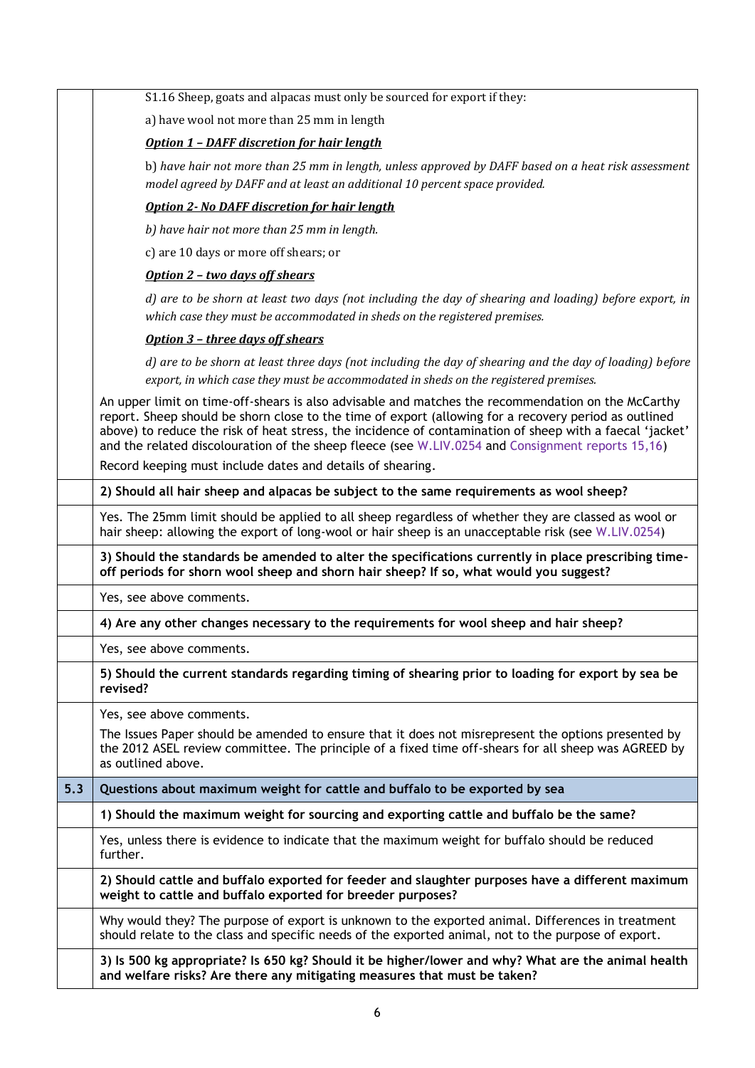|     | S1.16 Sheep, goats and alpacas must only be sourced for export if they:                                                                                                                                                                                                                                                                                                                                                      |
|-----|------------------------------------------------------------------------------------------------------------------------------------------------------------------------------------------------------------------------------------------------------------------------------------------------------------------------------------------------------------------------------------------------------------------------------|
|     | a) have wool not more than 25 mm in length                                                                                                                                                                                                                                                                                                                                                                                   |
|     | <b>Option 1 - DAFF discretion for hair length</b>                                                                                                                                                                                                                                                                                                                                                                            |
|     | b) have hair not more than 25 mm in length, unless approved by DAFF based on a heat risk assessment<br>model agreed by DAFF and at least an additional 10 percent space provided.                                                                                                                                                                                                                                            |
|     | <b>Option 2- No DAFF discretion for hair length</b>                                                                                                                                                                                                                                                                                                                                                                          |
|     | b) have hair not more than 25 mm in length.                                                                                                                                                                                                                                                                                                                                                                                  |
|     | c) are 10 days or more off shears; or                                                                                                                                                                                                                                                                                                                                                                                        |
|     | Option 2 - two days off shears                                                                                                                                                                                                                                                                                                                                                                                               |
|     | d) are to be shorn at least two days (not including the day of shearing and loading) before export, in<br>which case they must be accommodated in sheds on the registered premises.                                                                                                                                                                                                                                          |
|     | Option 3 - three days off shears                                                                                                                                                                                                                                                                                                                                                                                             |
|     | d) are to be shorn at least three days (not including the day of shearing and the day of loading) before<br>export, in which case they must be accommodated in sheds on the registered premises.                                                                                                                                                                                                                             |
|     | An upper limit on time-off-shears is also advisable and matches the recommendation on the McCarthy<br>report. Sheep should be shorn close to the time of export (allowing for a recovery period as outlined<br>above) to reduce the risk of heat stress, the incidence of contamination of sheep with a faecal 'jacket'<br>and the related discolouration of the sheep fleece (see W.LIV.0254 and Consignment reports 15,16) |
|     | Record keeping must include dates and details of shearing.                                                                                                                                                                                                                                                                                                                                                                   |
|     | 2) Should all hair sheep and alpacas be subject to the same requirements as wool sheep?                                                                                                                                                                                                                                                                                                                                      |
|     | Yes. The 25mm limit should be applied to all sheep regardless of whether they are classed as wool or<br>hair sheep: allowing the export of long-wool or hair sheep is an unacceptable risk (see W.LIV.0254)                                                                                                                                                                                                                  |
|     | 3) Should the standards be amended to alter the specifications currently in place prescribing time-<br>off periods for shorn wool sheep and shorn hair sheep? If so, what would you suggest?                                                                                                                                                                                                                                 |
|     | Yes, see above comments.                                                                                                                                                                                                                                                                                                                                                                                                     |
|     | 4) Are any other changes necessary to the requirements for wool sheep and hair sheep?                                                                                                                                                                                                                                                                                                                                        |
|     | Yes, see above comments.                                                                                                                                                                                                                                                                                                                                                                                                     |
|     | 5) Should the current standards regarding timing of shearing prior to loading for export by sea be<br>revised?                                                                                                                                                                                                                                                                                                               |
|     | Yes, see above comments.                                                                                                                                                                                                                                                                                                                                                                                                     |
|     | The Issues Paper should be amended to ensure that it does not misrepresent the options presented by<br>the 2012 ASEL review committee. The principle of a fixed time off-shears for all sheep was AGREED by<br>as outlined above.                                                                                                                                                                                            |
| 5.3 | Questions about maximum weight for cattle and buffalo to be exported by sea                                                                                                                                                                                                                                                                                                                                                  |
|     | 1) Should the maximum weight for sourcing and exporting cattle and buffalo be the same?                                                                                                                                                                                                                                                                                                                                      |
|     | Yes, unless there is evidence to indicate that the maximum weight for buffalo should be reduced<br>further.                                                                                                                                                                                                                                                                                                                  |
|     | 2) Should cattle and buffalo exported for feeder and slaughter purposes have a different maximum<br>weight to cattle and buffalo exported for breeder purposes?                                                                                                                                                                                                                                                              |
|     | Why would they? The purpose of export is unknown to the exported animal. Differences in treatment<br>should relate to the class and specific needs of the exported animal, not to the purpose of export.                                                                                                                                                                                                                     |
|     | 3) Is 500 kg appropriate? Is 650 kg? Should it be higher/lower and why? What are the animal health<br>and welfare risks? Are there any mitigating measures that must be taken?                                                                                                                                                                                                                                               |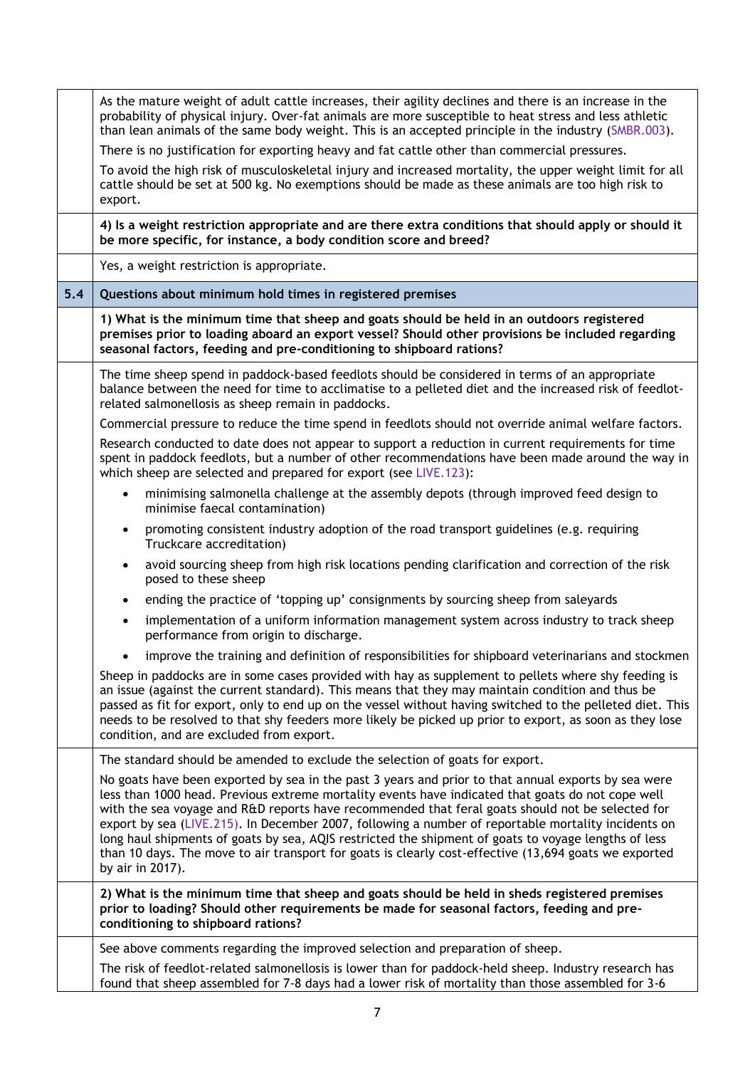|     | As the mature weight of adult cattle increases, their agility declines and there is an increase in the<br>probability of physical injury. Over-fat animals are more susceptible to heat stress and less athletic<br>than lean animals of the same body weight. This is an accepted principle in the industry (SMBR.003).<br>There is no justification for exporting heavy and fat cattle other than commercial pressures.<br>To avoid the high risk of musculoskeletal injury and increased mortality, the upper weight limit for all<br>cattle should be set at 500 kg. No exemptions should be made as these animals are too high risk to<br>export.   |
|-----|----------------------------------------------------------------------------------------------------------------------------------------------------------------------------------------------------------------------------------------------------------------------------------------------------------------------------------------------------------------------------------------------------------------------------------------------------------------------------------------------------------------------------------------------------------------------------------------------------------------------------------------------------------|
|     | 4) Is a weight restriction appropriate and are there extra conditions that should apply or should it<br>be more specific, for instance, a body condition score and breed?                                                                                                                                                                                                                                                                                                                                                                                                                                                                                |
|     | Yes, a weight restriction is appropriate.                                                                                                                                                                                                                                                                                                                                                                                                                                                                                                                                                                                                                |
| 5.4 | Questions about minimum hold times in registered premises                                                                                                                                                                                                                                                                                                                                                                                                                                                                                                                                                                                                |
|     | 1) What is the minimum time that sheep and goats should be held in an outdoors registered<br>premises prior to loading aboard an export vessel? Should other provisions be included regarding<br>seasonal factors, feeding and pre-conditioning to shipboard rations?                                                                                                                                                                                                                                                                                                                                                                                    |
|     | The time sheep spend in paddock-based feedlots should be considered in terms of an appropriate<br>balance between the need for time to acclimatise to a pelleted diet and the increased risk of feedlot-<br>related salmonellosis as sheep remain in paddocks.                                                                                                                                                                                                                                                                                                                                                                                           |
|     | Commercial pressure to reduce the time spend in feedlots should not override animal welfare factors.                                                                                                                                                                                                                                                                                                                                                                                                                                                                                                                                                     |
|     | Research conducted to date does not appear to support a reduction in current requirements for time<br>spent in paddock feedlots, but a number of other recommendations have been made around the way in<br>which sheep are selected and prepared for export (see LIVE.123):                                                                                                                                                                                                                                                                                                                                                                              |
|     | minimising salmonella challenge at the assembly depots (through improved feed design to<br>$\bullet$<br>minimise faecal contamination)                                                                                                                                                                                                                                                                                                                                                                                                                                                                                                                   |
|     | promoting consistent industry adoption of the road transport guidelines (e.g. requiring<br>$\bullet$<br>Truckcare accreditation)                                                                                                                                                                                                                                                                                                                                                                                                                                                                                                                         |
|     | avoid sourcing sheep from high risk locations pending clarification and correction of the risk<br>$\bullet$<br>posed to these sheep                                                                                                                                                                                                                                                                                                                                                                                                                                                                                                                      |
|     | ending the practice of 'topping up' consignments by sourcing sheep from saleyards<br>$\bullet$                                                                                                                                                                                                                                                                                                                                                                                                                                                                                                                                                           |
|     | implementation of a uniform information management system across industry to track sheep<br>$\bullet$<br>performance from origin to discharge.                                                                                                                                                                                                                                                                                                                                                                                                                                                                                                           |
|     | improve the training and definition of responsibilities for shipboard veterinarians and stockmen                                                                                                                                                                                                                                                                                                                                                                                                                                                                                                                                                         |
|     | Sheep in paddocks are in some cases provided with hay as supplement to pellets where shy feeding is<br>an issue (against the current standard). This means that they may maintain condition and thus be<br>passed as fit for export, only to end up on the vessel without having switched to the pelleted diet. This<br>needs to be resolved to that shy feeders more likely be picked up prior to export, as soon as they lose<br>condition, and are excluded from export.                                                                                                                                                                              |
|     | The standard should be amended to exclude the selection of goats for export.                                                                                                                                                                                                                                                                                                                                                                                                                                                                                                                                                                             |
|     | No goats have been exported by sea in the past 3 years and prior to that annual exports by sea were<br>less than 1000 head. Previous extreme mortality events have indicated that goats do not cope well<br>with the sea voyage and R&D reports have recommended that feral goats should not be selected for<br>export by sea (LIVE.215). In December 2007, following a number of reportable mortality incidents on<br>long haul shipments of goats by sea, AQIS restricted the shipment of goats to voyage lengths of less<br>than 10 days. The move to air transport for goats is clearly cost-effective (13,694 goats we exported<br>by air in 2017). |
|     | 2) What is the minimum time that sheep and goats should be held in sheds registered premises<br>prior to loading? Should other requirements be made for seasonal factors, feeding and pre-<br>conditioning to shipboard rations?                                                                                                                                                                                                                                                                                                                                                                                                                         |
|     | See above comments regarding the improved selection and preparation of sheep.                                                                                                                                                                                                                                                                                                                                                                                                                                                                                                                                                                            |
|     | The risk of feedlot-related salmonellosis is lower than for paddock-held sheep. Industry research has<br>found that sheep assembled for 7-8 days had a lower risk of mortality than those assembled for 3-6                                                                                                                                                                                                                                                                                                                                                                                                                                              |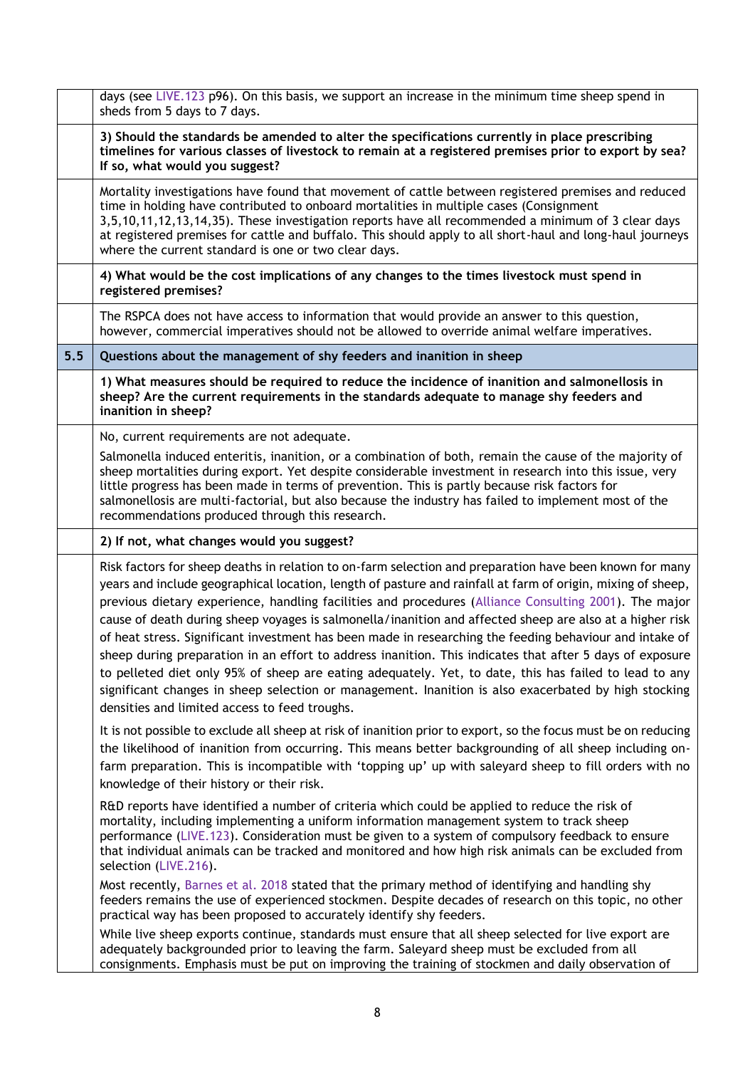|     | days (see LIVE.123 p96). On this basis, we support an increase in the minimum time sheep spend in<br>sheds from 5 days to 7 days.                                                                                                                                                                                                                                                                                                                                                                                                                                                                                                                                                                                                                                                                                                                                                                                                     |
|-----|---------------------------------------------------------------------------------------------------------------------------------------------------------------------------------------------------------------------------------------------------------------------------------------------------------------------------------------------------------------------------------------------------------------------------------------------------------------------------------------------------------------------------------------------------------------------------------------------------------------------------------------------------------------------------------------------------------------------------------------------------------------------------------------------------------------------------------------------------------------------------------------------------------------------------------------|
|     | 3) Should the standards be amended to alter the specifications currently in place prescribing<br>timelines for various classes of livestock to remain at a registered premises prior to export by sea?<br>If so, what would you suggest?                                                                                                                                                                                                                                                                                                                                                                                                                                                                                                                                                                                                                                                                                              |
|     | Mortality investigations have found that movement of cattle between registered premises and reduced<br>time in holding have contributed to onboard mortalities in multiple cases (Consignment<br>3,5,10,11,12,13,14,35). These investigation reports have all recommended a minimum of 3 clear days<br>at registered premises for cattle and buffalo. This should apply to all short-haul and long-haul journeys<br>where the current standard is one or two clear days.                                                                                                                                                                                                                                                                                                                                                                                                                                                              |
|     | 4) What would be the cost implications of any changes to the times livestock must spend in<br>registered premises?                                                                                                                                                                                                                                                                                                                                                                                                                                                                                                                                                                                                                                                                                                                                                                                                                    |
|     | The RSPCA does not have access to information that would provide an answer to this question,<br>however, commercial imperatives should not be allowed to override animal welfare imperatives.                                                                                                                                                                                                                                                                                                                                                                                                                                                                                                                                                                                                                                                                                                                                         |
| 5.5 | Questions about the management of shy feeders and inanition in sheep                                                                                                                                                                                                                                                                                                                                                                                                                                                                                                                                                                                                                                                                                                                                                                                                                                                                  |
|     | 1) What measures should be required to reduce the incidence of inanition and salmonellosis in<br>sheep? Are the current requirements in the standards adequate to manage shy feeders and<br>inanition in sheep?                                                                                                                                                                                                                                                                                                                                                                                                                                                                                                                                                                                                                                                                                                                       |
|     | No, current requirements are not adequate.<br>Salmonella induced enteritis, inanition, or a combination of both, remain the cause of the majority of<br>sheep mortalities during export. Yet despite considerable investment in research into this issue, very<br>little progress has been made in terms of prevention. This is partly because risk factors for<br>salmonellosis are multi-factorial, but also because the industry has failed to implement most of the<br>recommendations produced through this research.                                                                                                                                                                                                                                                                                                                                                                                                            |
|     | 2) If not, what changes would you suggest?                                                                                                                                                                                                                                                                                                                                                                                                                                                                                                                                                                                                                                                                                                                                                                                                                                                                                            |
|     | Risk factors for sheep deaths in relation to on-farm selection and preparation have been known for many<br>years and include geographical location, length of pasture and rainfall at farm of origin, mixing of sheep,<br>previous dietary experience, handling facilities and procedures (Alliance Consulting 2001). The major<br>cause of death during sheep voyages is salmonella/inanition and affected sheep are also at a higher risk<br>of heat stress. Significant investment has been made in researching the feeding behaviour and intake of<br>sheep during preparation in an effort to address inanition. This indicates that after 5 days of exposure<br>to pelleted diet only 95% of sheep are eating adequately. Yet, to date, this has failed to lead to any<br>significant changes in sheep selection or management. Inanition is also exacerbated by high stocking<br>densities and limited access to feed troughs. |
|     | It is not possible to exclude all sheep at risk of inanition prior to export, so the focus must be on reducing<br>the likelihood of inanition from occurring. This means better backgrounding of all sheep including on-<br>farm preparation. This is incompatible with 'topping up' up with saleyard sheep to fill orders with no<br>knowledge of their history or their risk.                                                                                                                                                                                                                                                                                                                                                                                                                                                                                                                                                       |
|     | R&D reports have identified a number of criteria which could be applied to reduce the risk of<br>mortality, including implementing a uniform information management system to track sheep<br>performance (LIVE.123). Consideration must be given to a system of compulsory feedback to ensure<br>that individual animals can be tracked and monitored and how high risk animals can be excluded from<br>selection (LIVE.216).                                                                                                                                                                                                                                                                                                                                                                                                                                                                                                         |
|     | Most recently, Barnes et al. 2018 stated that the primary method of identifying and handling shy<br>feeders remains the use of experienced stockmen. Despite decades of research on this topic, no other<br>practical way has been proposed to accurately identify shy feeders.                                                                                                                                                                                                                                                                                                                                                                                                                                                                                                                                                                                                                                                       |
|     | While live sheep exports continue, standards must ensure that all sheep selected for live export are<br>adequately backgrounded prior to leaving the farm. Saleyard sheep must be excluded from all<br>consignments. Emphasis must be put on improving the training of stockmen and daily observation of                                                                                                                                                                                                                                                                                                                                                                                                                                                                                                                                                                                                                              |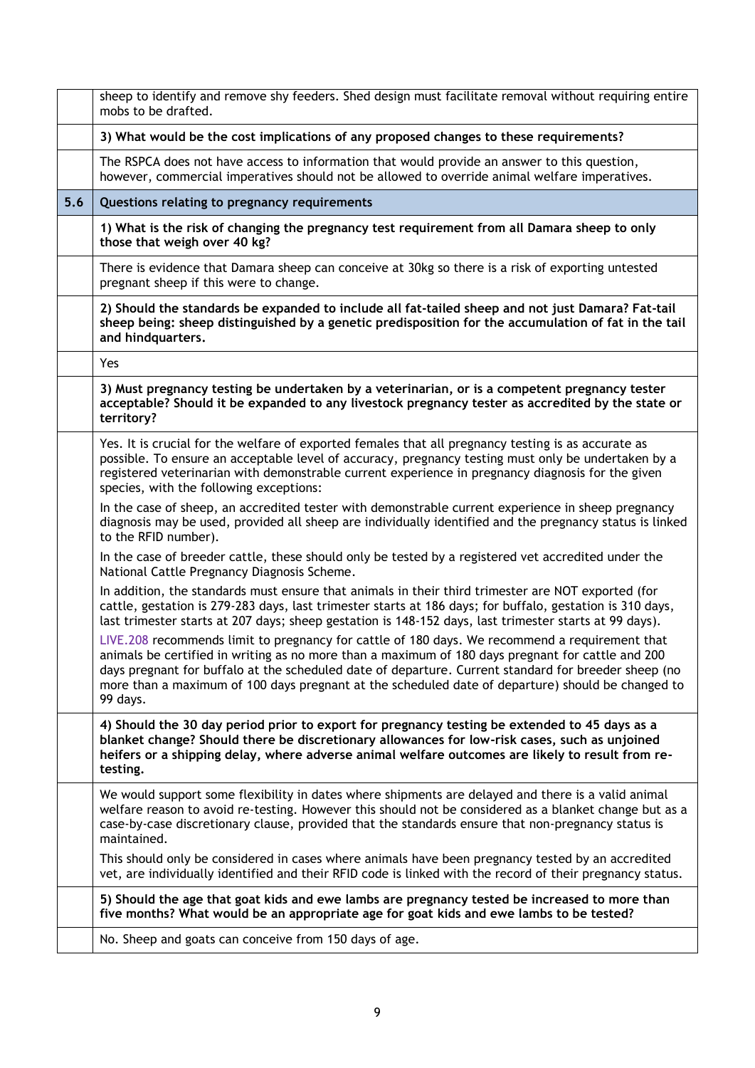|     | sheep to identify and remove shy feeders. Shed design must facilitate removal without requiring entire<br>mobs to be drafted.                                                                                                                                                                                                                                                                                                |
|-----|------------------------------------------------------------------------------------------------------------------------------------------------------------------------------------------------------------------------------------------------------------------------------------------------------------------------------------------------------------------------------------------------------------------------------|
|     | 3) What would be the cost implications of any proposed changes to these requirements?                                                                                                                                                                                                                                                                                                                                        |
|     | The RSPCA does not have access to information that would provide an answer to this question,<br>however, commercial imperatives should not be allowed to override animal welfare imperatives.                                                                                                                                                                                                                                |
| 5.6 | Questions relating to pregnancy requirements                                                                                                                                                                                                                                                                                                                                                                                 |
|     | 1) What is the risk of changing the pregnancy test requirement from all Damara sheep to only<br>those that weigh over 40 kg?                                                                                                                                                                                                                                                                                                 |
|     | There is evidence that Damara sheep can conceive at 30kg so there is a risk of exporting untested<br>pregnant sheep if this were to change.                                                                                                                                                                                                                                                                                  |
|     | 2) Should the standards be expanded to include all fat-tailed sheep and not just Damara? Fat-tail<br>sheep being: sheep distinguished by a genetic predisposition for the accumulation of fat in the tail<br>and hindquarters.                                                                                                                                                                                               |
|     | Yes                                                                                                                                                                                                                                                                                                                                                                                                                          |
|     | 3) Must pregnancy testing be undertaken by a veterinarian, or is a competent pregnancy tester<br>acceptable? Should it be expanded to any livestock pregnancy tester as accredited by the state or<br>territory?                                                                                                                                                                                                             |
|     | Yes. It is crucial for the welfare of exported females that all pregnancy testing is as accurate as<br>possible. To ensure an acceptable level of accuracy, pregnancy testing must only be undertaken by a<br>registered veterinarian with demonstrable current experience in pregnancy diagnosis for the given<br>species, with the following exceptions:                                                                   |
|     | In the case of sheep, an accredited tester with demonstrable current experience in sheep pregnancy<br>diagnosis may be used, provided all sheep are individually identified and the pregnancy status is linked<br>to the RFID number).                                                                                                                                                                                       |
|     | In the case of breeder cattle, these should only be tested by a registered vet accredited under the<br>National Cattle Pregnancy Diagnosis Scheme.                                                                                                                                                                                                                                                                           |
|     | In addition, the standards must ensure that animals in their third trimester are NOT exported (for<br>cattle, gestation is 279-283 days, last trimester starts at 186 days; for buffalo, gestation is 310 days,<br>last trimester starts at 207 days; sheep gestation is 148-152 days, last trimester starts at 99 days).                                                                                                    |
|     | LIVE.208 recommends limit to pregnancy for cattle of 180 days. We recommend a requirement that<br>animals be certified in writing as no more than a maximum of 180 days pregnant for cattle and 200<br>days pregnant for buffalo at the scheduled date of departure. Current standard for breeder sheep (no<br>more than a maximum of 100 days pregnant at the scheduled date of departure) should be changed to<br>99 days. |
|     | 4) Should the 30 day period prior to export for pregnancy testing be extended to 45 days as a<br>blanket change? Should there be discretionary allowances for low-risk cases, such as unjoined<br>heifers or a shipping delay, where adverse animal welfare outcomes are likely to result from re-<br>testing.                                                                                                               |
|     | We would support some flexibility in dates where shipments are delayed and there is a valid animal<br>welfare reason to avoid re-testing. However this should not be considered as a blanket change but as a<br>case-by-case discretionary clause, provided that the standards ensure that non-pregnancy status is<br>maintained.                                                                                            |
|     | This should only be considered in cases where animals have been pregnancy tested by an accredited<br>vet, are individually identified and their RFID code is linked with the record of their pregnancy status.                                                                                                                                                                                                               |
|     | 5) Should the age that goat kids and ewe lambs are pregnancy tested be increased to more than<br>five months? What would be an appropriate age for goat kids and ewe lambs to be tested?                                                                                                                                                                                                                                     |
|     | No. Sheep and goats can conceive from 150 days of age.                                                                                                                                                                                                                                                                                                                                                                       |
|     |                                                                                                                                                                                                                                                                                                                                                                                                                              |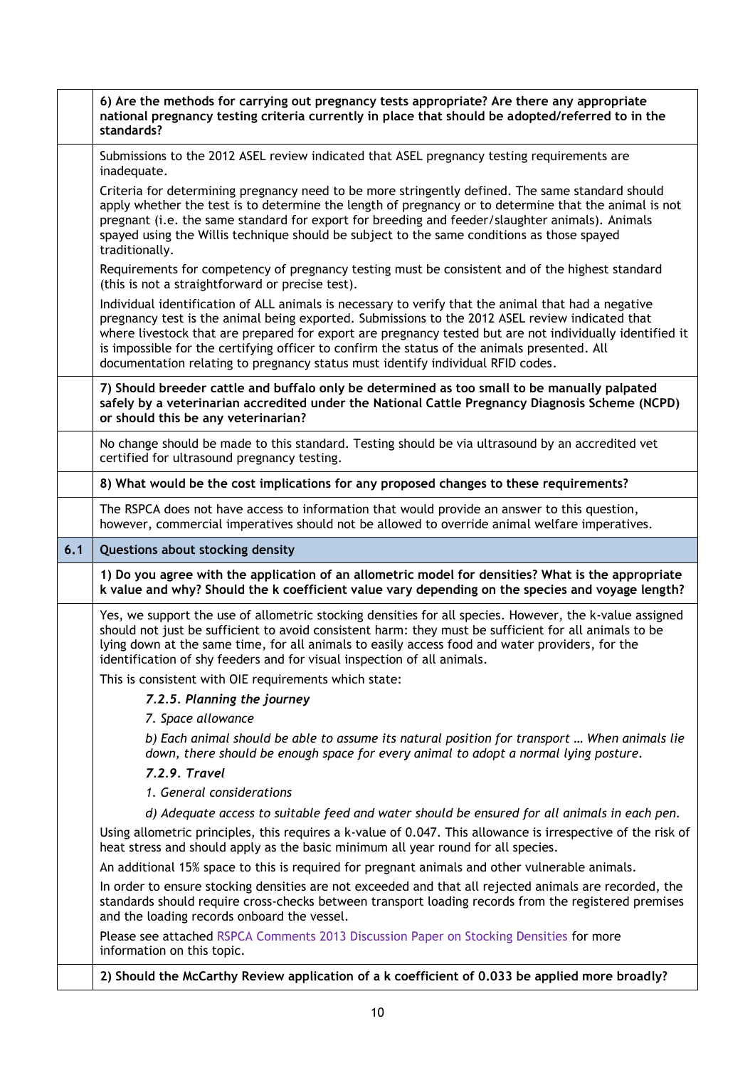|     | 6) Are the methods for carrying out pregnancy tests appropriate? Are there any appropriate<br>national pregnancy testing criteria currently in place that should be adopted/referred to in the<br>standards?                                                                                                                                                                                                                                                                                          |
|-----|-------------------------------------------------------------------------------------------------------------------------------------------------------------------------------------------------------------------------------------------------------------------------------------------------------------------------------------------------------------------------------------------------------------------------------------------------------------------------------------------------------|
|     | Submissions to the 2012 ASEL review indicated that ASEL pregnancy testing requirements are<br>inadequate.                                                                                                                                                                                                                                                                                                                                                                                             |
|     | Criteria for determining pregnancy need to be more stringently defined. The same standard should<br>apply whether the test is to determine the length of pregnancy or to determine that the animal is not<br>pregnant (i.e. the same standard for export for breeding and feeder/slaughter animals). Animals<br>spayed using the Willis technique should be subject to the same conditions as those spayed<br>traditionally.                                                                          |
|     | Requirements for competency of pregnancy testing must be consistent and of the highest standard<br>(this is not a straightforward or precise test).                                                                                                                                                                                                                                                                                                                                                   |
|     | Individual identification of ALL animals is necessary to verify that the animal that had a negative<br>pregnancy test is the animal being exported. Submissions to the 2012 ASEL review indicated that<br>where livestock that are prepared for export are pregnancy tested but are not individually identified it<br>is impossible for the certifying officer to confirm the status of the animals presented. All<br>documentation relating to pregnancy status must identify individual RFID codes. |
|     | 7) Should breeder cattle and buffalo only be determined as too small to be manually palpated<br>safely by a veterinarian accredited under the National Cattle Pregnancy Diagnosis Scheme (NCPD)<br>or should this be any veterinarian?                                                                                                                                                                                                                                                                |
|     | No change should be made to this standard. Testing should be via ultrasound by an accredited vet<br>certified for ultrasound pregnancy testing.                                                                                                                                                                                                                                                                                                                                                       |
|     | 8) What would be the cost implications for any proposed changes to these requirements?                                                                                                                                                                                                                                                                                                                                                                                                                |
|     | The RSPCA does not have access to information that would provide an answer to this question,<br>however, commercial imperatives should not be allowed to override animal welfare imperatives.                                                                                                                                                                                                                                                                                                         |
|     |                                                                                                                                                                                                                                                                                                                                                                                                                                                                                                       |
| 6.1 | Questions about stocking density                                                                                                                                                                                                                                                                                                                                                                                                                                                                      |
|     | 1) Do you agree with the application of an allometric model for densities? What is the appropriate<br>k value and why? Should the k coefficient value vary depending on the species and voyage length?                                                                                                                                                                                                                                                                                                |
|     | Yes, we support the use of allometric stocking densities for all species. However, the k-value assigned<br>should not just be sufficient to avoid consistent harm: they must be sufficient for all animals to be<br>lying down at the same time, for all animals to easily access food and water providers, for the<br>identification of shy feeders and for visual inspection of all animals.                                                                                                        |
|     | This is consistent with OIE requirements which state:                                                                                                                                                                                                                                                                                                                                                                                                                                                 |
|     | 7.2.5. Planning the journey<br>7. Space allowance                                                                                                                                                                                                                                                                                                                                                                                                                                                     |
|     | b) Each animal should be able to assume its natural position for transport  When animals lie<br>down, there should be enough space for every animal to adopt a normal lying posture.                                                                                                                                                                                                                                                                                                                  |
|     | 7.2.9. Travel                                                                                                                                                                                                                                                                                                                                                                                                                                                                                         |
|     | 1. General considerations                                                                                                                                                                                                                                                                                                                                                                                                                                                                             |
|     | d) Adequate access to suitable feed and water should be ensured for all animals in each pen.                                                                                                                                                                                                                                                                                                                                                                                                          |
|     | Using allometric principles, this requires a k-value of 0.047. This allowance is irrespective of the risk of<br>heat stress and should apply as the basic minimum all year round for all species.                                                                                                                                                                                                                                                                                                     |
|     | An additional 15% space to this is required for pregnant animals and other vulnerable animals.                                                                                                                                                                                                                                                                                                                                                                                                        |
|     | In order to ensure stocking densities are not exceeded and that all rejected animals are recorded, the<br>standards should require cross-checks between transport loading records from the registered premises<br>and the loading records onboard the vessel.                                                                                                                                                                                                                                         |
|     | Please see attached RSPCA Comments 2013 Discussion Paper on Stocking Densities for more<br>information on this topic.                                                                                                                                                                                                                                                                                                                                                                                 |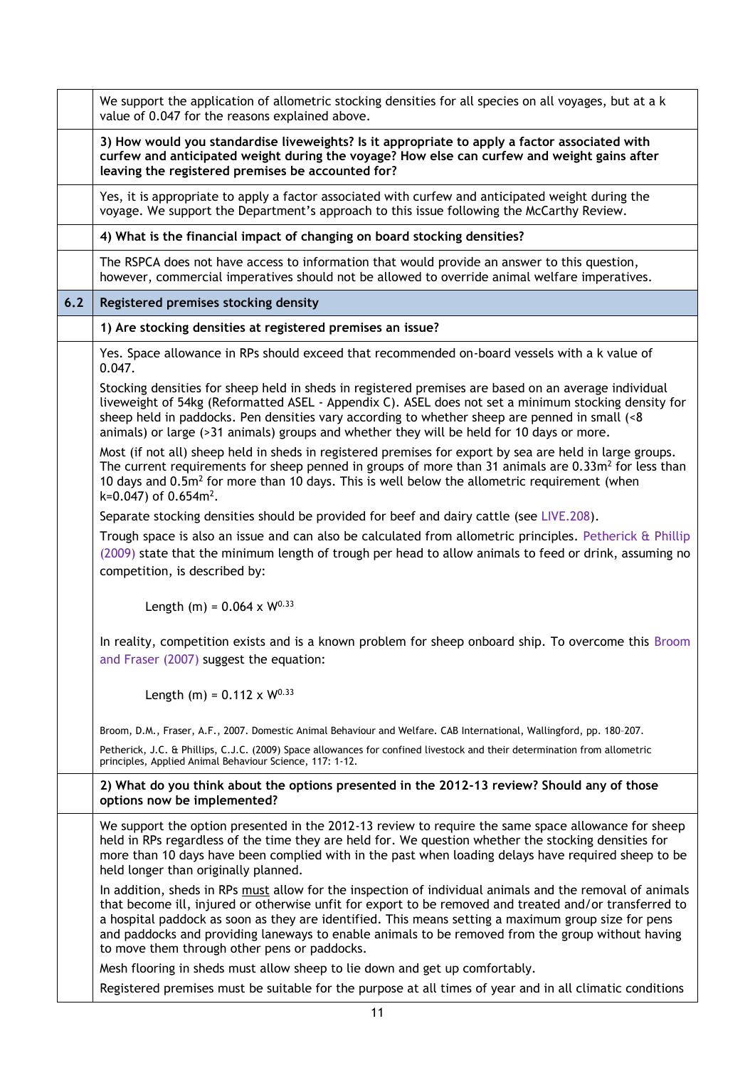|     | We support the application of allometric stocking densities for all species on all voyages, but at a k<br>value of 0.047 for the reasons explained above.                                                                                                                                                                                                                                                                                                                      |
|-----|--------------------------------------------------------------------------------------------------------------------------------------------------------------------------------------------------------------------------------------------------------------------------------------------------------------------------------------------------------------------------------------------------------------------------------------------------------------------------------|
|     | 3) How would you standardise liveweights? Is it appropriate to apply a factor associated with<br>curfew and anticipated weight during the voyage? How else can curfew and weight gains after<br>leaving the registered premises be accounted for?                                                                                                                                                                                                                              |
|     | Yes, it is appropriate to apply a factor associated with curfew and anticipated weight during the<br>voyage. We support the Department's approach to this issue following the McCarthy Review.                                                                                                                                                                                                                                                                                 |
|     | 4) What is the financial impact of changing on board stocking densities?                                                                                                                                                                                                                                                                                                                                                                                                       |
|     | The RSPCA does not have access to information that would provide an answer to this question,<br>however, commercial imperatives should not be allowed to override animal welfare imperatives.                                                                                                                                                                                                                                                                                  |
| 6.2 | Registered premises stocking density                                                                                                                                                                                                                                                                                                                                                                                                                                           |
|     | 1) Are stocking densities at registered premises an issue?                                                                                                                                                                                                                                                                                                                                                                                                                     |
|     | Yes. Space allowance in RPs should exceed that recommended on-board vessels with a k value of<br>0.047.                                                                                                                                                                                                                                                                                                                                                                        |
|     | Stocking densities for sheep held in sheds in registered premises are based on an average individual<br>liveweight of 54kg (Reformatted ASEL - Appendix C). ASEL does not set a minimum stocking density for<br>sheep held in paddocks. Pen densities vary according to whether sheep are penned in small (<8<br>animals) or large (>31 animals) groups and whether they will be held for 10 days or more.                                                                     |
|     | Most (if not all) sheep held in sheds in registered premises for export by sea are held in large groups.<br>The current requirements for sheep penned in groups of more than 31 animals are $0.33m^2$ for less than<br>10 days and 0.5m <sup>2</sup> for more than 10 days. This is well below the allometric requirement (when<br>k=0.047) of $0.654m^2$ .                                                                                                                    |
|     | Separate stocking densities should be provided for beef and dairy cattle (see LIVE.208).                                                                                                                                                                                                                                                                                                                                                                                       |
|     | Trough space is also an issue and can also be calculated from allometric principles. Petherick & Phillip<br>(2009) state that the minimum length of trough per head to allow animals to feed or drink, assuming no<br>competition, is described by:                                                                                                                                                                                                                            |
|     | Length (m) = $0.064 \times W^{0.33}$                                                                                                                                                                                                                                                                                                                                                                                                                                           |
|     | In reality, competition exists and is a known problem for sheep onboard ship. To overcome this Broom<br>and Fraser (2007) suggest the equation:                                                                                                                                                                                                                                                                                                                                |
|     | Length (m) = $0.112 \times W^{0.33}$                                                                                                                                                                                                                                                                                                                                                                                                                                           |
|     | Broom, D.M., Fraser, A.F., 2007. Domestic Animal Behaviour and Welfare. CAB International, Wallingford, pp. 180-207.                                                                                                                                                                                                                                                                                                                                                           |
|     | Petherick, J.C. & Phillips, C.J.C. (2009) Space allowances for confined livestock and their determination from allometric<br>principles, Applied Animal Behaviour Science, 117: 1-12.                                                                                                                                                                                                                                                                                          |
|     | 2) What do you think about the options presented in the 2012-13 review? Should any of those<br>options now be implemented?                                                                                                                                                                                                                                                                                                                                                     |
|     | We support the option presented in the 2012-13 review to require the same space allowance for sheep<br>held in RPs regardless of the time they are held for. We question whether the stocking densities for<br>more than 10 days have been complied with in the past when loading delays have required sheep to be<br>held longer than originally planned.                                                                                                                     |
|     | In addition, sheds in RPs must allow for the inspection of individual animals and the removal of animals<br>that become ill, injured or otherwise unfit for export to be removed and treated and/or transferred to<br>a hospital paddock as soon as they are identified. This means setting a maximum group size for pens<br>and paddocks and providing laneways to enable animals to be removed from the group without having<br>to move them through other pens or paddocks. |
|     | Mesh flooring in sheds must allow sheep to lie down and get up comfortably.                                                                                                                                                                                                                                                                                                                                                                                                    |
|     | Registered premises must be suitable for the purpose at all times of year and in all climatic conditions                                                                                                                                                                                                                                                                                                                                                                       |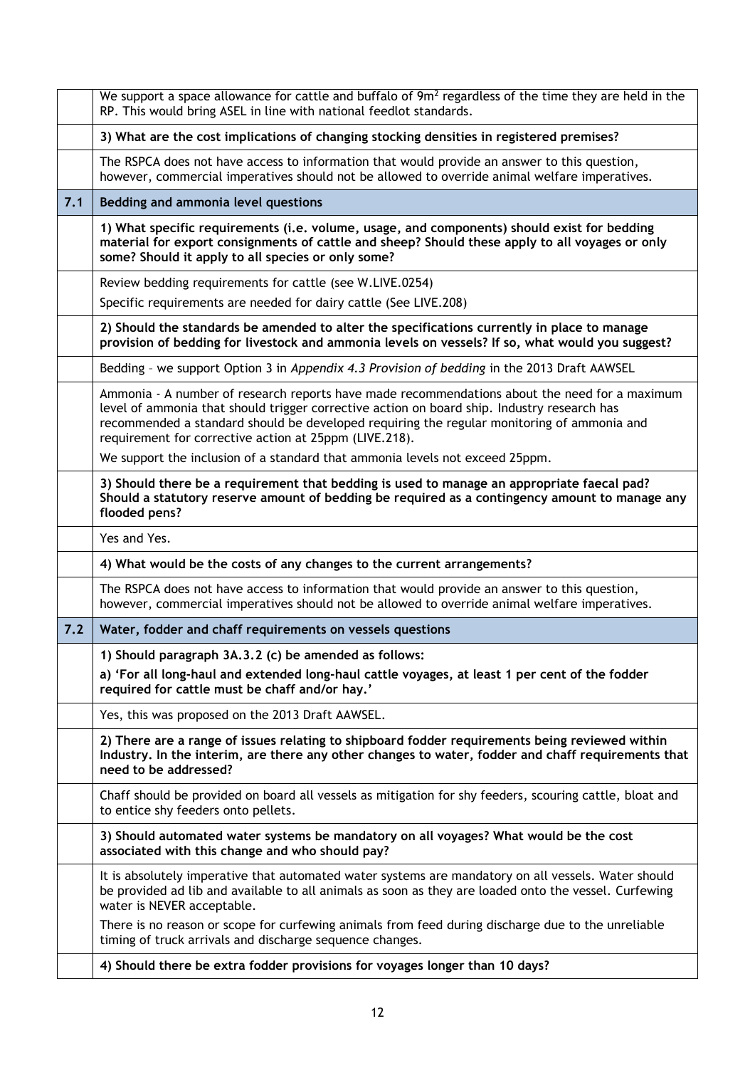|     | We support a space allowance for cattle and buffalo of $9m2$ regardless of the time they are held in the<br>RP. This would bring ASEL in line with national feedlot standards.                                                                                                                                                                       |
|-----|------------------------------------------------------------------------------------------------------------------------------------------------------------------------------------------------------------------------------------------------------------------------------------------------------------------------------------------------------|
|     | 3) What are the cost implications of changing stocking densities in registered premises?                                                                                                                                                                                                                                                             |
|     | The RSPCA does not have access to information that would provide an answer to this question,<br>however, commercial imperatives should not be allowed to override animal welfare imperatives.                                                                                                                                                        |
| 7.1 | Bedding and ammonia level questions                                                                                                                                                                                                                                                                                                                  |
|     | 1) What specific requirements (i.e. volume, usage, and components) should exist for bedding<br>material for export consignments of cattle and sheep? Should these apply to all voyages or only<br>some? Should it apply to all species or only some?                                                                                                 |
|     | Review bedding requirements for cattle (see W.LIVE.0254)                                                                                                                                                                                                                                                                                             |
|     | Specific requirements are needed for dairy cattle (See LIVE.208)                                                                                                                                                                                                                                                                                     |
|     | 2) Should the standards be amended to alter the specifications currently in place to manage<br>provision of bedding for livestock and ammonia levels on vessels? If so, what would you suggest?                                                                                                                                                      |
|     | Bedding - we support Option 3 in Appendix 4.3 Provision of bedding in the 2013 Draft AAWSEL                                                                                                                                                                                                                                                          |
|     | Ammonia - A number of research reports have made recommendations about the need for a maximum<br>level of ammonia that should trigger corrective action on board ship. Industry research has<br>recommended a standard should be developed requiring the regular monitoring of ammonia and<br>requirement for corrective action at 25ppm (LIVE.218). |
|     | We support the inclusion of a standard that ammonia levels not exceed 25ppm.                                                                                                                                                                                                                                                                         |
|     | 3) Should there be a requirement that bedding is used to manage an appropriate faecal pad?<br>Should a statutory reserve amount of bedding be required as a contingency amount to manage any<br>flooded pens?                                                                                                                                        |
|     | Yes and Yes.                                                                                                                                                                                                                                                                                                                                         |
|     | 4) What would be the costs of any changes to the current arrangements?                                                                                                                                                                                                                                                                               |
|     | The RSPCA does not have access to information that would provide an answer to this question,<br>however, commercial imperatives should not be allowed to override animal welfare imperatives.                                                                                                                                                        |
| 7.2 | Water, fodder and chaff requirements on vessels questions                                                                                                                                                                                                                                                                                            |
|     | 1) Should paragraph 3A.3.2 (c) be amended as follows:                                                                                                                                                                                                                                                                                                |
|     | a) 'For all long-haul and extended long-haul cattle voyages, at least 1 per cent of the fodder<br>required for cattle must be chaff and/or hay.'                                                                                                                                                                                                     |
|     | Yes, this was proposed on the 2013 Draft AAWSEL.                                                                                                                                                                                                                                                                                                     |
|     | 2) There are a range of issues relating to shipboard fodder requirements being reviewed within<br>Industry. In the interim, are there any other changes to water, fodder and chaff requirements that<br>need to be addressed?                                                                                                                        |
|     | Chaff should be provided on board all vessels as mitigation for shy feeders, scouring cattle, bloat and<br>to entice shy feeders onto pellets.                                                                                                                                                                                                       |
|     | 3) Should automated water systems be mandatory on all voyages? What would be the cost<br>associated with this change and who should pay?                                                                                                                                                                                                             |
|     | It is absolutely imperative that automated water systems are mandatory on all vessels. Water should<br>be provided ad lib and available to all animals as soon as they are loaded onto the vessel. Curfewing<br>water is NEVER acceptable.                                                                                                           |
|     | There is no reason or scope for curfewing animals from feed during discharge due to the unreliable<br>timing of truck arrivals and discharge sequence changes.                                                                                                                                                                                       |
|     | 4) Should there be extra fodder provisions for voyages longer than 10 days?                                                                                                                                                                                                                                                                          |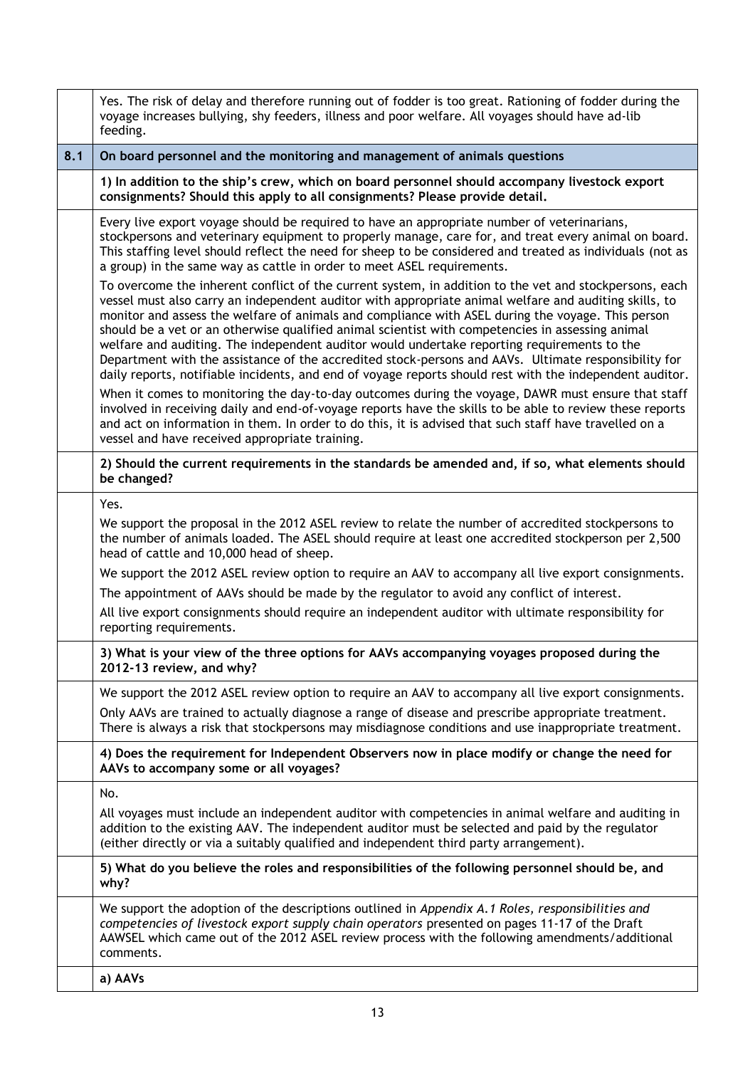|     | Yes. The risk of delay and therefore running out of fodder is too great. Rationing of fodder during the<br>voyage increases bullying, shy feeders, illness and poor welfare. All voyages should have ad-lib<br>feeding.                                                                                                                                                                                                                                                                                                                                                                                                                                                                                                                     |
|-----|---------------------------------------------------------------------------------------------------------------------------------------------------------------------------------------------------------------------------------------------------------------------------------------------------------------------------------------------------------------------------------------------------------------------------------------------------------------------------------------------------------------------------------------------------------------------------------------------------------------------------------------------------------------------------------------------------------------------------------------------|
| 8.1 | On board personnel and the monitoring and management of animals questions                                                                                                                                                                                                                                                                                                                                                                                                                                                                                                                                                                                                                                                                   |
|     | 1) In addition to the ship's crew, which on board personnel should accompany livestock export<br>consignments? Should this apply to all consignments? Please provide detail.                                                                                                                                                                                                                                                                                                                                                                                                                                                                                                                                                                |
|     | Every live export voyage should be required to have an appropriate number of veterinarians,<br>stockpersons and veterinary equipment to properly manage, care for, and treat every animal on board.<br>This staffing level should reflect the need for sheep to be considered and treated as individuals (not as<br>a group) in the same way as cattle in order to meet ASEL requirements.                                                                                                                                                                                                                                                                                                                                                  |
|     | To overcome the inherent conflict of the current system, in addition to the vet and stockpersons, each<br>vessel must also carry an independent auditor with appropriate animal welfare and auditing skills, to<br>monitor and assess the welfare of animals and compliance with ASEL during the voyage. This person<br>should be a vet or an otherwise qualified animal scientist with competencies in assessing animal<br>welfare and auditing. The independent auditor would undertake reporting requirements to the<br>Department with the assistance of the accredited stock-persons and AAVs. Ultimate responsibility for<br>daily reports, notifiable incidents, and end of voyage reports should rest with the independent auditor. |
|     | When it comes to monitoring the day-to-day outcomes during the voyage, DAWR must ensure that staff<br>involved in receiving daily and end-of-voyage reports have the skills to be able to review these reports<br>and act on information in them. In order to do this, it is advised that such staff have travelled on a<br>vessel and have received appropriate training.                                                                                                                                                                                                                                                                                                                                                                  |
|     | 2) Should the current requirements in the standards be amended and, if so, what elements should<br>be changed?                                                                                                                                                                                                                                                                                                                                                                                                                                                                                                                                                                                                                              |
|     | Yes.                                                                                                                                                                                                                                                                                                                                                                                                                                                                                                                                                                                                                                                                                                                                        |
|     | We support the proposal in the 2012 ASEL review to relate the number of accredited stockpersons to<br>the number of animals loaded. The ASEL should require at least one accredited stockperson per 2,500<br>head of cattle and 10,000 head of sheep.                                                                                                                                                                                                                                                                                                                                                                                                                                                                                       |
|     | We support the 2012 ASEL review option to require an AAV to accompany all live export consignments.                                                                                                                                                                                                                                                                                                                                                                                                                                                                                                                                                                                                                                         |
|     | The appointment of AAVs should be made by the regulator to avoid any conflict of interest.                                                                                                                                                                                                                                                                                                                                                                                                                                                                                                                                                                                                                                                  |
|     | All live export consignments should require an independent auditor with ultimate responsibility for<br>reporting requirements.                                                                                                                                                                                                                                                                                                                                                                                                                                                                                                                                                                                                              |
|     | 3) What is your view of the three options for AAVs accompanying voyages proposed during the<br>2012-13 review, and why?                                                                                                                                                                                                                                                                                                                                                                                                                                                                                                                                                                                                                     |
|     | We support the 2012 ASEL review option to require an AAV to accompany all live export consignments.                                                                                                                                                                                                                                                                                                                                                                                                                                                                                                                                                                                                                                         |
|     | Only AAVs are trained to actually diagnose a range of disease and prescribe appropriate treatment.<br>There is always a risk that stockpersons may misdiagnose conditions and use inappropriate treatment.                                                                                                                                                                                                                                                                                                                                                                                                                                                                                                                                  |
|     | 4) Does the requirement for Independent Observers now in place modify or change the need for<br>AAVs to accompany some or all voyages?                                                                                                                                                                                                                                                                                                                                                                                                                                                                                                                                                                                                      |
|     | No.                                                                                                                                                                                                                                                                                                                                                                                                                                                                                                                                                                                                                                                                                                                                         |
|     | All voyages must include an independent auditor with competencies in animal welfare and auditing in<br>addition to the existing AAV. The independent auditor must be selected and paid by the regulator<br>(either directly or via a suitably qualified and independent third party arrangement).                                                                                                                                                                                                                                                                                                                                                                                                                                           |
|     | 5) What do you believe the roles and responsibilities of the following personnel should be, and<br>why?                                                                                                                                                                                                                                                                                                                                                                                                                                                                                                                                                                                                                                     |
|     | We support the adoption of the descriptions outlined in Appendix A.1 Roles, responsibilities and<br>competencies of livestock export supply chain operators presented on pages 11-17 of the Draft<br>AAWSEL which came out of the 2012 ASEL review process with the following amendments/additional<br>comments.                                                                                                                                                                                                                                                                                                                                                                                                                            |
|     | a) AAVs                                                                                                                                                                                                                                                                                                                                                                                                                                                                                                                                                                                                                                                                                                                                     |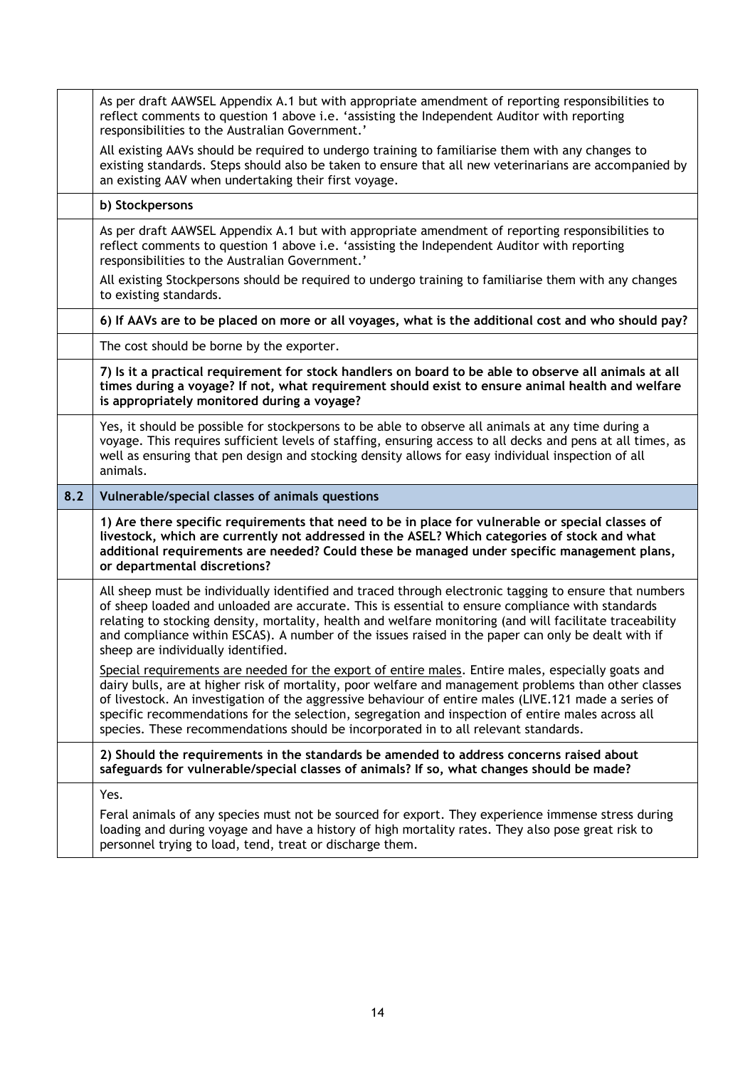|     | As per draft AAWSEL Appendix A.1 but with appropriate amendment of reporting responsibilities to<br>reflect comments to question 1 above i.e. 'assisting the Independent Auditor with reporting<br>responsibilities to the Australian Government.'                                                                                                                                                                                                                 |
|-----|--------------------------------------------------------------------------------------------------------------------------------------------------------------------------------------------------------------------------------------------------------------------------------------------------------------------------------------------------------------------------------------------------------------------------------------------------------------------|
|     | All existing AAVs should be required to undergo training to familiarise them with any changes to<br>existing standards. Steps should also be taken to ensure that all new veterinarians are accompanied by<br>an existing AAV when undertaking their first voyage.                                                                                                                                                                                                 |
|     | b) Stockpersons                                                                                                                                                                                                                                                                                                                                                                                                                                                    |
|     | As per draft AAWSEL Appendix A.1 but with appropriate amendment of reporting responsibilities to<br>reflect comments to question 1 above i.e. 'assisting the Independent Auditor with reporting<br>responsibilities to the Australian Government.'                                                                                                                                                                                                                 |
|     | All existing Stockpersons should be required to undergo training to familiarise them with any changes<br>to existing standards.                                                                                                                                                                                                                                                                                                                                    |
|     | 6) If AAVs are to be placed on more or all voyages, what is the additional cost and who should pay?                                                                                                                                                                                                                                                                                                                                                                |
|     | The cost should be borne by the exporter.                                                                                                                                                                                                                                                                                                                                                                                                                          |
|     | 7) Is it a practical requirement for stock handlers on board to be able to observe all animals at all<br>times during a voyage? If not, what requirement should exist to ensure animal health and welfare<br>is appropriately monitored during a voyage?                                                                                                                                                                                                           |
|     | Yes, it should be possible for stockpersons to be able to observe all animals at any time during a<br>voyage. This requires sufficient levels of staffing, ensuring access to all decks and pens at all times, as<br>well as ensuring that pen design and stocking density allows for easy individual inspection of all<br>animals.                                                                                                                                |
| 8.2 | Vulnerable/special classes of animals questions                                                                                                                                                                                                                                                                                                                                                                                                                    |
|     | 1) Are there specific requirements that need to be in place for vulnerable or special classes of<br>livestock, which are currently not addressed in the ASEL? Which categories of stock and what<br>additional requirements are needed? Could these be managed under specific management plans,<br>or departmental discretions?                                                                                                                                    |
|     | All sheep must be individually identified and traced through electronic tagging to ensure that numbers<br>of sheep loaded and unloaded are accurate. This is essential to ensure compliance with standards<br>relating to stocking density, mortality, health and welfare monitoring (and will facilitate traceability<br>and compliance within ESCAS). A number of the issues raised in the paper can only be dealt with if<br>sheep are individually identified. |
|     | Special requirements are needed for the export of entire males. Entire males, especially goats and<br>dairy bulls, are at higher risk of mortality, poor welfare and management problems than other classes                                                                                                                                                                                                                                                        |
|     | of livestock. An investigation of the aggressive behaviour of entire males (LIVE.121 made a series of<br>specific recommendations for the selection, segregation and inspection of entire males across all<br>species. These recommendations should be incorporated in to all relevant standards.                                                                                                                                                                  |
|     | 2) Should the requirements in the standards be amended to address concerns raised about<br>safeguards for vulnerable/special classes of animals? If so, what changes should be made?                                                                                                                                                                                                                                                                               |
|     | Yes.                                                                                                                                                                                                                                                                                                                                                                                                                                                               |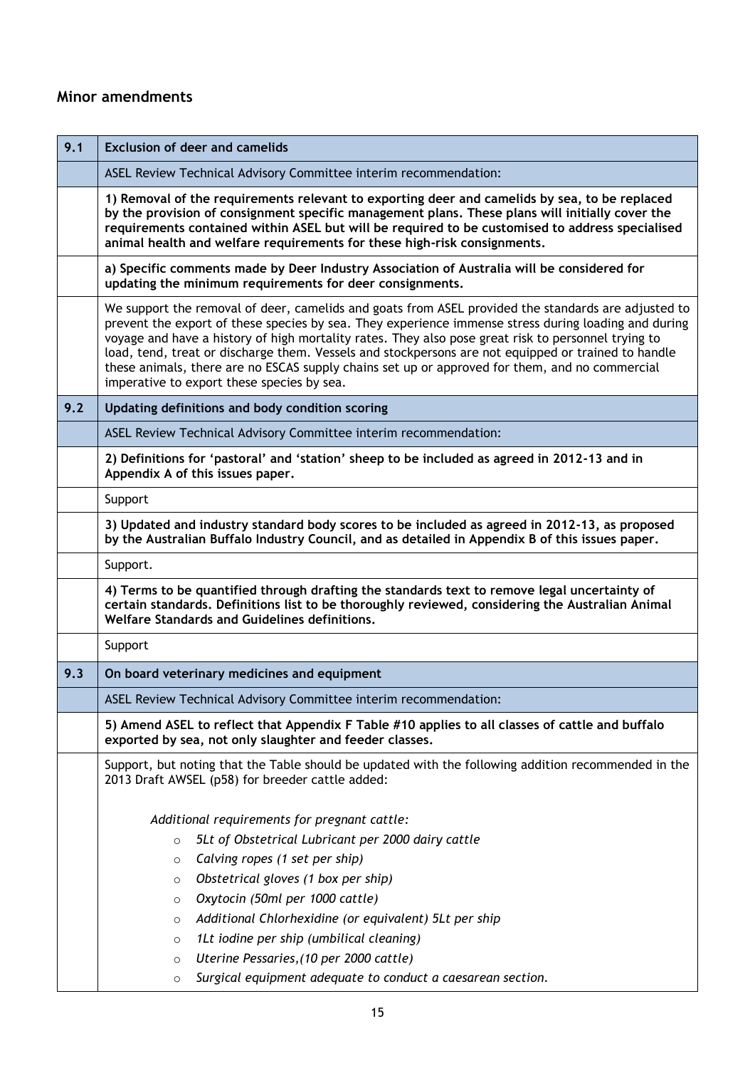## **Minor amendments**

| <b>Exclusion of deer and camelids</b>                                                                                                                                                                                                                                                                                                                                                                                                                                                                                                                                     |
|---------------------------------------------------------------------------------------------------------------------------------------------------------------------------------------------------------------------------------------------------------------------------------------------------------------------------------------------------------------------------------------------------------------------------------------------------------------------------------------------------------------------------------------------------------------------------|
| ASEL Review Technical Advisory Committee interim recommendation:                                                                                                                                                                                                                                                                                                                                                                                                                                                                                                          |
| 1) Removal of the requirements relevant to exporting deer and camelids by sea, to be replaced<br>by the provision of consignment specific management plans. These plans will initially cover the<br>requirements contained within ASEL but will be required to be customised to address specialised<br>animal health and welfare requirements for these high-risk consignments.                                                                                                                                                                                           |
| a) Specific comments made by Deer Industry Association of Australia will be considered for<br>updating the minimum requirements for deer consignments.                                                                                                                                                                                                                                                                                                                                                                                                                    |
| We support the removal of deer, camelids and goats from ASEL provided the standards are adjusted to<br>prevent the export of these species by sea. They experience immense stress during loading and during<br>voyage and have a history of high mortality rates. They also pose great risk to personnel trying to<br>load, tend, treat or discharge them. Vessels and stockpersons are not equipped or trained to handle<br>these animals, there are no ESCAS supply chains set up or approved for them, and no commercial<br>imperative to export these species by sea. |
| Updating definitions and body condition scoring                                                                                                                                                                                                                                                                                                                                                                                                                                                                                                                           |
| ASEL Review Technical Advisory Committee interim recommendation:                                                                                                                                                                                                                                                                                                                                                                                                                                                                                                          |
| 2) Definitions for 'pastoral' and 'station' sheep to be included as agreed in 2012-13 and in<br>Appendix A of this issues paper.                                                                                                                                                                                                                                                                                                                                                                                                                                          |
| Support                                                                                                                                                                                                                                                                                                                                                                                                                                                                                                                                                                   |
| 3) Updated and industry standard body scores to be included as agreed in 2012-13, as proposed<br>by the Australian Buffalo Industry Council, and as detailed in Appendix B of this issues paper.                                                                                                                                                                                                                                                                                                                                                                          |
| Support.                                                                                                                                                                                                                                                                                                                                                                                                                                                                                                                                                                  |
| 4) Terms to be quantified through drafting the standards text to remove legal uncertainty of<br>certain standards. Definitions list to be thoroughly reviewed, considering the Australian Animal<br>Welfare Standards and Guidelines definitions.                                                                                                                                                                                                                                                                                                                         |
| Support                                                                                                                                                                                                                                                                                                                                                                                                                                                                                                                                                                   |
| On board veterinary medicines and equipment                                                                                                                                                                                                                                                                                                                                                                                                                                                                                                                               |
| ASEL Review Technical Advisory Committee interim recommendation:                                                                                                                                                                                                                                                                                                                                                                                                                                                                                                          |
| 5) Amend ASEL to reflect that Appendix F Table #10 applies to all classes of cattle and buffalo<br>exported by sea, not only slaughter and feeder classes.                                                                                                                                                                                                                                                                                                                                                                                                                |
| Support, but noting that the Table should be updated with the following addition recommended in the<br>2013 Draft AWSEL (p58) for breeder cattle added:                                                                                                                                                                                                                                                                                                                                                                                                                   |
| Additional requirements for pregnant cattle:<br>5Lt of Obstetrical Lubricant per 2000 dairy cattle<br>$\circ$                                                                                                                                                                                                                                                                                                                                                                                                                                                             |
| Calving ropes (1 set per ship)<br>$\circ$                                                                                                                                                                                                                                                                                                                                                                                                                                                                                                                                 |
| Obstetrical gloves (1 box per ship)<br>$\circ$                                                                                                                                                                                                                                                                                                                                                                                                                                                                                                                            |
| Oxytocin (50ml per 1000 cattle)<br>$\circ$                                                                                                                                                                                                                                                                                                                                                                                                                                                                                                                                |
| Additional Chlorhexidine (or equivalent) 5Lt per ship<br>$\circ$<br>1Lt iodine per ship (umbilical cleaning)                                                                                                                                                                                                                                                                                                                                                                                                                                                              |
| $\circ$<br>Uterine Pessaries, (10 per 2000 cattle)<br>$\circ$                                                                                                                                                                                                                                                                                                                                                                                                                                                                                                             |
| Surgical equipment adequate to conduct a caesarean section.                                                                                                                                                                                                                                                                                                                                                                                                                                                                                                               |
|                                                                                                                                                                                                                                                                                                                                                                                                                                                                                                                                                                           |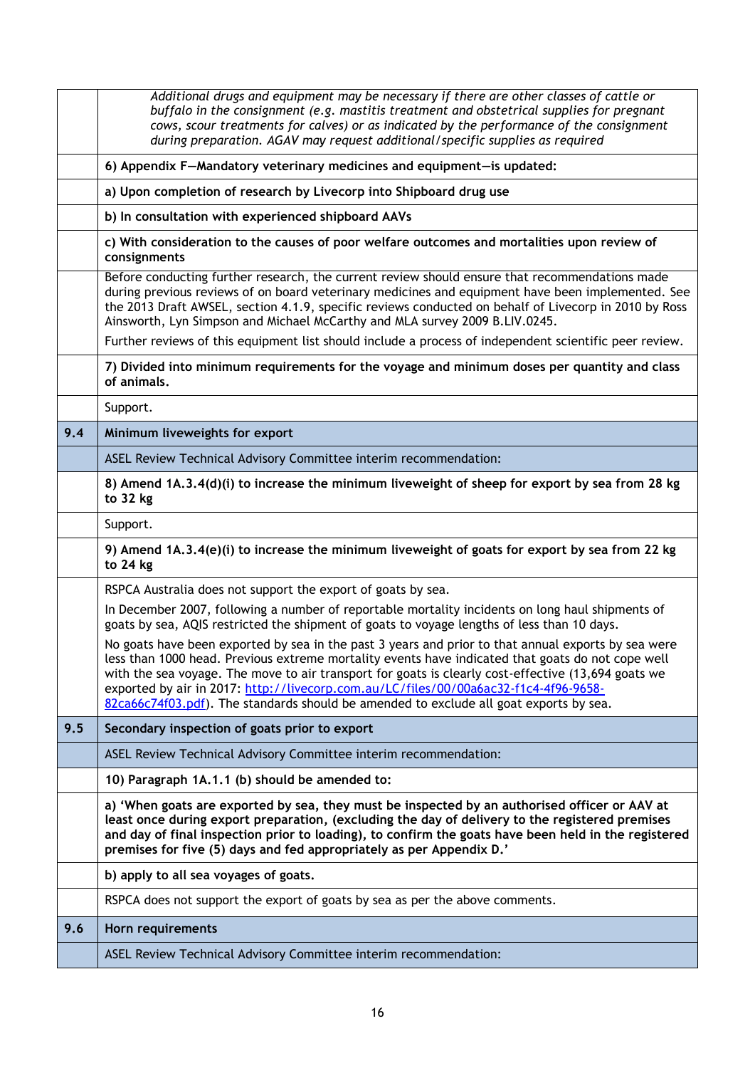|     | Additional drugs and equipment may be necessary if there are other classes of cattle or<br>buffalo in the consignment (e.g. mastitis treatment and obstetrical supplies for pregnant                                                                                                                                                                                                                                                                                                              |
|-----|---------------------------------------------------------------------------------------------------------------------------------------------------------------------------------------------------------------------------------------------------------------------------------------------------------------------------------------------------------------------------------------------------------------------------------------------------------------------------------------------------|
|     | cows, scour treatments for calves) or as indicated by the performance of the consignment<br>during preparation. AGAV may request additional/specific supplies as required                                                                                                                                                                                                                                                                                                                         |
|     | 6) Appendix F-Mandatory veterinary medicines and equipment-is updated:                                                                                                                                                                                                                                                                                                                                                                                                                            |
|     | a) Upon completion of research by Livecorp into Shipboard drug use                                                                                                                                                                                                                                                                                                                                                                                                                                |
|     | b) In consultation with experienced shipboard AAVs                                                                                                                                                                                                                                                                                                                                                                                                                                                |
|     | c) With consideration to the causes of poor welfare outcomes and mortalities upon review of<br>consignments                                                                                                                                                                                                                                                                                                                                                                                       |
|     | Before conducting further research, the current review should ensure that recommendations made<br>during previous reviews of on board veterinary medicines and equipment have been implemented. See<br>the 2013 Draft AWSEL, section 4.1.9, specific reviews conducted on behalf of Livecorp in 2010 by Ross<br>Ainsworth, Lyn Simpson and Michael McCarthy and MLA survey 2009 B.LIV.0245.                                                                                                       |
|     | Further reviews of this equipment list should include a process of independent scientific peer review.                                                                                                                                                                                                                                                                                                                                                                                            |
|     | 7) Divided into minimum requirements for the voyage and minimum doses per quantity and class<br>of animals.                                                                                                                                                                                                                                                                                                                                                                                       |
|     | Support.                                                                                                                                                                                                                                                                                                                                                                                                                                                                                          |
| 9.4 | Minimum liveweights for export                                                                                                                                                                                                                                                                                                                                                                                                                                                                    |
|     | ASEL Review Technical Advisory Committee interim recommendation:                                                                                                                                                                                                                                                                                                                                                                                                                                  |
|     | 8) Amend 1A.3.4(d)(i) to increase the minimum liveweight of sheep for export by sea from 28 kg<br>to 32 kg                                                                                                                                                                                                                                                                                                                                                                                        |
|     | Support.                                                                                                                                                                                                                                                                                                                                                                                                                                                                                          |
|     | 9) Amend 1A.3.4(e)(i) to increase the minimum liveweight of goats for export by sea from 22 kg<br>to 24 kg                                                                                                                                                                                                                                                                                                                                                                                        |
|     | RSPCA Australia does not support the export of goats by sea.                                                                                                                                                                                                                                                                                                                                                                                                                                      |
|     | In December 2007, following a number of reportable mortality incidents on long haul shipments of<br>goats by sea, AQIS restricted the shipment of goats to voyage lengths of less than 10 days.                                                                                                                                                                                                                                                                                                   |
|     | No goats have been exported by sea in the past 3 years and prior to that annual exports by sea were<br>less than 1000 head. Previous extreme mortality events have indicated that goats do not cope well<br>with the sea voyage. The move to air transport for goats is clearly cost-effective (13,694 goats we<br>exported by air in 2017: http://livecorp.com.au/LC/files/00/00a6ac32-f1c4-4f96-9658-<br>82ca66c74f03.pdf). The standards should be amended to exclude all goat exports by sea. |
| 9.5 | Secondary inspection of goats prior to export                                                                                                                                                                                                                                                                                                                                                                                                                                                     |
|     | ASEL Review Technical Advisory Committee interim recommendation:                                                                                                                                                                                                                                                                                                                                                                                                                                  |
|     | 10) Paragraph 1A.1.1 (b) should be amended to:                                                                                                                                                                                                                                                                                                                                                                                                                                                    |
|     | a) 'When goats are exported by sea, they must be inspected by an authorised officer or AAV at<br>least once during export preparation, (excluding the day of delivery to the registered premises<br>and day of final inspection prior to loading), to confirm the goats have been held in the registered<br>premises for five (5) days and fed appropriately as per Appendix D.'                                                                                                                  |
|     | b) apply to all sea voyages of goats.                                                                                                                                                                                                                                                                                                                                                                                                                                                             |
|     | RSPCA does not support the export of goats by sea as per the above comments.                                                                                                                                                                                                                                                                                                                                                                                                                      |
| 9.6 | Horn requirements                                                                                                                                                                                                                                                                                                                                                                                                                                                                                 |
|     | ASEL Review Technical Advisory Committee interim recommendation:                                                                                                                                                                                                                                                                                                                                                                                                                                  |